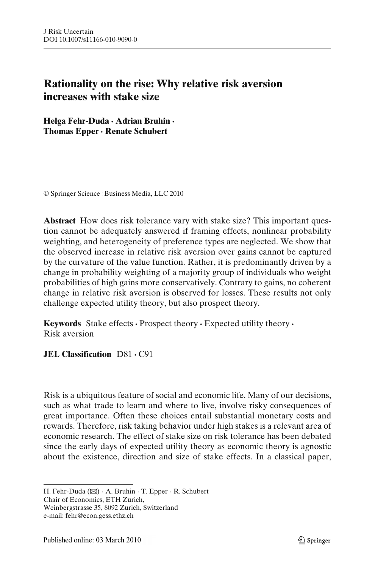# **Rationality on the rise: Why relative risk aversion increases with stake size**

**Helga Fehr-Duda · Adrian Bruhin · Thomas Epper · Renate Schubert**

© Springer Science+Business Media, LLC 2010

**Abstract** How does risk tolerance vary with stake size? This important question cannot be adequately answered if framing effects, nonlinear probability weighting, and heterogeneity of preference types are neglected. We show that the observed increase in relative risk aversion over gains cannot be captured by the curvature of the value function. Rather, it is predominantly driven by a change in probability weighting of a majority group of individuals who weight probabilities of high gains more conservatively. Contrary to gains, no coherent change in relative risk aversion is observed for losses. These results not only challenge expected utility theory, but also prospect theory.

**Keywords** Stake effects **·** Prospect theory **·** Expected utility theory **·** Risk aversion

## **JEL Classification** D81 **·** C91

Risk is a ubiquitous feature of social and economic life. Many of our decisions, such as what trade to learn and where to live, involve risky consequences of great importance. Often these choices entail substantial monetary costs and rewards. Therefore, risk taking behavior under high stakes is a relevant area of economic research. The effect of stake size on risk tolerance has been debated since the early days of expected utility theory as economic theory is agnostic about the existence, direction and size of stake effects. In a classical paper,

H. Fehr-Duda (B) · A. Bruhin · T. Epper · R. Schubert

Chair of Economics, ETH Zurich,

Weinbergstrasse 35, 8092 Zurich, Switzerland

e-mail: fehr@econ.gess.ethz.ch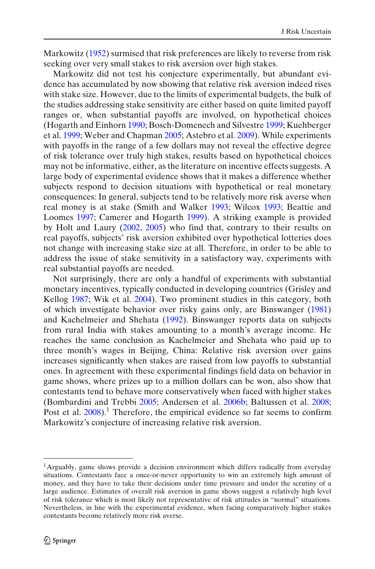Markowit[z](#page-32-0) [\(1952](#page-32-0)) surmised that risk preferences are likely to reverse from risk seeking over very small stakes to risk aversion over high stakes.

Markowitz did not test his conjecture experimentally, but abundant evidence has accumulated by now showing that relative risk aversion indeed rises with stake size. However, due to the limits of experimental budgets, the bulk of the studies addressing stake sensitivity are either based on quite limited payoff ranges or, when substantial payoffs are involved, on hypothetical choices (Hogarth and Einhor[n](#page-32-0) [1990;](#page-32-0) Bosch-Domenech and Silvestr[e](#page-31-0) [1999;](#page-31-0) Kuehberger et al[.](#page-32-0) [1999;](#page-32-0) Weber and Chapma[n](#page-33-0) [2005;](#page-33-0) Astebro et al[.](#page-30-0) [2009](#page-30-0)). While experiments with payoffs in the range of a few dollars may not reveal the effective degree of risk tolerance over truly high stakes, results based on hypothetical choices may not be informative, either, as the literature on incentive effects suggests. A large body of experimental evidence shows that it makes a difference whether subjects respond to decision situations with hypothetical or real monetary consequences: In general, subjects tend to be relatively more risk averse when real money is at stake (Smith and Walke[r](#page-32-0) [1993;](#page-32-0) Wilco[x](#page-33-0) [1993](#page-33-0); Beattie and Loome[s](#page-31-0) [1997;](#page-31-0) Camerer and Hogart[h](#page-31-0) [1999](#page-31-0)). A striking example is provided by Holt and Laur[y](#page-32-0) [\(2002](#page-32-0), [2005\)](#page-32-0) who find that, contrary to their results on real payoffs, subjects' risk aversion exhibited over hypothetical lotteries does not change with increasing stake size at all. Therefore, in order to be able to address the issue of stake sensitivity in a satisfactory way, experiments with real substantial payoffs are needed.

Not surprisingly, there are only a handful of experiments with substantial monetary incentives, typically conducted in developing countries (Grisley and Kello[g](#page-31-0) [1987;](#page-31-0) Wik et al[.](#page-33-0) [2004\)](#page-33-0). Two prominent studies in this category, both of which investigate behavior over risky gains only, are Binswange[r](#page-31-0) [\(1981](#page-31-0)) and Kachelmeier and Shehat[a](#page-32-0) [\(1992](#page-32-0)). Binswanger reports data on subjects from rural India with stakes amounting to a month's average income. He reaches the same conclusion as Kachelmeier and Shehata who paid up to three month's wages in Beijing, China: Relative risk aversion over gains increases significantly when stakes are raised from low payoffs to substantial ones. In agreement with these experimental findings field data on behavior in game shows, where prizes up to a million dollars can be won, also show that contestants tend to behave more conservatively when faced with higher stakes (Bombardini and Trebb[i](#page-31-0) [2005;](#page-31-0) Andersen et al[.](#page-30-0) [2006b;](#page-30-0) Baltussen et al[.](#page-30-0) [2008;](#page-30-0) Post et al[.](#page-32-0)  $2008$ ).<sup>1</sup> Therefore, the empirical evidence so far seems to confirm Markowitz's conjecture of increasing relative risk aversion.

<sup>1</sup>Arguably, game shows provide a decision environment which differs radically from everyday situations. Contestants face a once-or-never opportunity to win an extremely high amount of money, and they have to take their decisions under time pressure and under the scrutiny of a large audience. Estimates of overall risk aversion in game shows suggest a relatively high level of risk tolerance which is most likely not representative of risk attitudes in "normal" situations. Nevertheless, in line with the experimental evidence, when facing comparatively higher stakes contestants become relatively more risk averse.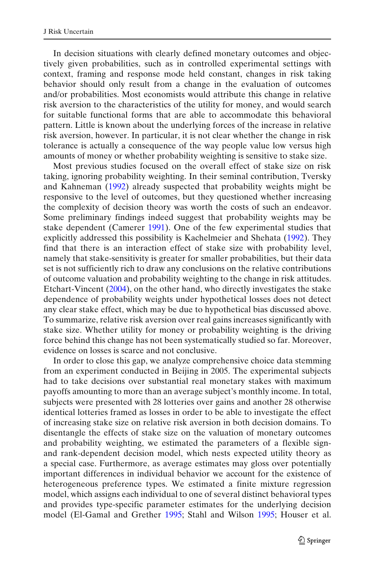In decision situations with clearly defined monetary outcomes and objectively given probabilities, such as in controlled experimental settings with context, framing and response mode held constant, changes in risk taking behavior should only result from a change in the evaluation of outcomes and/or probabilities. Most economists would attribute this change in relative risk aversion to the characteristics of the utility for money, and would search for suitable functional forms that are able to accommodate this behavioral pattern. Little is known about the underlying forces of the increase in relative risk aversion, however. In particular, it is not clear whether the change in risk tolerance is actually a consequence of the way people value low versus high amounts of money or whether probability weighting is sensitive to stake size.

Most previous studies focused on the overall effect of stake size on risk taking, ignoring probability weighting. In their seminal contribution, Tversky and Kahnema[n](#page-32-0) [\(1992](#page-32-0)) already suspected that probability weights might be responsive to the level of outcomes, but they questioned whether increasing the complexity of decision theory was worth the costs of such an endeavor. Some preliminary findings indeed suggest that probability weights may be stake dependent (Camere[r](#page-31-0) [1991\)](#page-31-0). One of the few experimental studies that explicitly addressed this possibility is Kachelmeier and Shehat[a](#page-32-0) [\(1992](#page-32-0)). They find that there is an interaction effect of stake size with probability level, namely that stake-sensitivity is greater for smaller probabilities, but their data set is not sufficiently rich to draw any conclusions on the relative contributions of outcome valuation and probability weighting to the change in risk attitudes. Etchart-Vincen[t](#page-31-0) [\(2004](#page-31-0)), on the other hand, who directly investigates the stake dependence of probability weights under hypothetical losses does not detect any clear stake effect, which may be due to hypothetical bias discussed above. To summarize, relative risk aversion over real gains increases significantly with stake size. Whether utility for money or probability weighting is the driving force behind this change has not been systematically studied so far. Moreover, evidence on losses is scarce and not conclusive.

In order to close this gap, we analyze comprehensive choice data stemming from an experiment conducted in Beijing in 2005. The experimental subjects had to take decisions over substantial real monetary stakes with maximum payoffs amounting to more than an average subject's monthly income. In total, subjects were presented with 28 lotteries over gains and another 28 otherwise identical lotteries framed as losses in order to be able to investigate the effect of increasing stake size on relative risk aversion in both decision domains. To disentangle the effects of stake size on the valuation of monetary outcomes and probability weighting, we estimated the parameters of a flexible signand rank-dependent decision model, which nests expected utility theory as a special case. Furthermore, as average estimates may gloss over potentially important differences in individual behavior we account for the existence of heterogeneous preference types. We estimated a finite mixture regression model, which assigns each individual to one of several distinct behavioral types and provides type-specific parameter estimates for the underlying decision model (El-Gamal and Grethe[r](#page-31-0) [1995](#page-31-0); Stahl and Wilso[n](#page-32-0) [1995](#page-32-0); Houser et al[.](#page-32-0)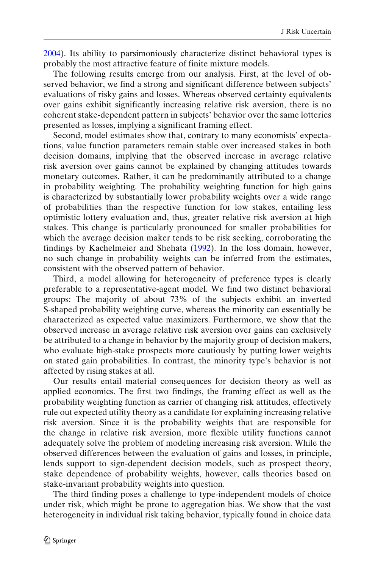[2004](#page-32-0)). Its ability to parsimoniously characterize distinct behavioral types is probably the most attractive feature of finite mixture models.

The following results emerge from our analysis. First, at the level of observed behavior, we find a strong and significant difference between subjects' evaluations of risky gains and losses. Whereas observed certainty equivalents over gains exhibit significantly increasing relative risk aversion, there is no coherent stake-dependent pattern in subjects' behavior over the same lotteries presented as losses, implying a significant framing effect.

Second, model estimates show that, contrary to many economists' expectations, value function parameters remain stable over increased stakes in both decision domains, implying that the observed increase in average relative risk aversion over gains cannot be explained by changing attitudes towards monetary outcomes. Rather, it can be predominantly attributed to a change in probability weighting. The probability weighting function for high gains is characterized by substantially lower probability weights over a wide range of probabilities than the respective function for low stakes, entailing less optimistic lottery evaluation and, thus, greater relative risk aversion at high stakes. This change is particularly pronounced for smaller probabilities for which the average decision maker tends to be risk seeking, corroborating the findings by Kachelmeier and Shehat[a](#page-32-0) [\(1992](#page-32-0)). In the loss domain, however, no such change in probability weights can be inferred from the estimates, consistent with the observed pattern of behavior.

Third, a model allowing for heterogeneity of preference types is clearly preferable to a representative-agent model. We find two distinct behavioral groups: The majority of about 73% of the subjects exhibit an inverted S-shaped probability weighting curve, whereas the minority can essentially be characterized as expected value maximizers. Furthermore, we show that the observed increase in average relative risk aversion over gains can exclusively be attributed to a change in behavior by the majority group of decision makers, who evaluate high-stake prospects more cautiously by putting lower weights on stated gain probabilities. In contrast, the minority type's behavior is not affected by rising stakes at all.

Our results entail material consequences for decision theory as well as applied economics. The first two findings, the framing effect as well as the probability weighting function as carrier of changing risk attitudes, effectively rule out expected utility theory as a candidate for explaining increasing relative risk aversion. Since it is the probability weights that are responsible for the change in relative risk aversion, more flexible utility functions cannot adequately solve the problem of modeling increasing risk aversion. While the observed differences between the evaluation of gains and losses, in principle, lends support to sign-dependent decision models, such as prospect theory, stake dependence of probability weights, however, calls theories based on stake-invariant probability weights into question.

The third finding poses a challenge to type-independent models of choice under risk, which might be prone to aggregation bias. We show that the vast heterogeneity in individual risk taking behavior, typically found in choice data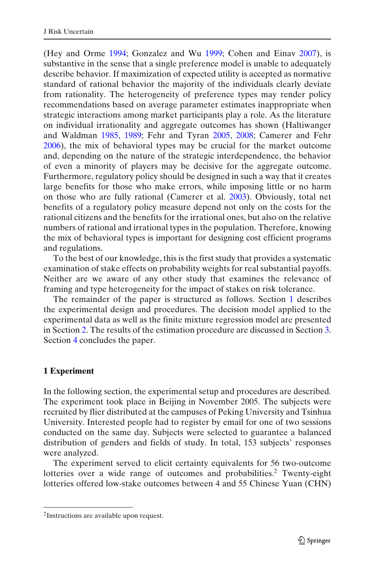(Hey and Orm[e](#page-31-0) [1994;](#page-31-0) Gonzalez and W[u](#page-31-0) [1999;](#page-31-0) Cohen and Eina[v](#page-31-0) [2007\)](#page-31-0), is substantive in the sense that a single preference model is unable to adequately describe behavior. If maximization of expected utility is accepted as normative standard of rational behavior the majority of the individuals clearly deviate from rationality. The heterogeneity of preference types may render policy recommendations based on average parameter estimates inappropriate when strategic interactions among market participants play a role. As the literature on individual irrationality and aggregate outcomes has shown (Haltiwanger and Waldma[n](#page-31-0) [1985,](#page-31-0) [1989;](#page-31-0) Fehr and Tyra[n](#page-31-0) [2005,](#page-31-0) [2008;](#page-31-0) Camerer and Feh[r](#page-31-0) [2006](#page-31-0)), the mix of behavioral types may be crucial for the market outcome and, depending on the nature of the strategic interdependence, the behavior of even a minority of players may be decisive for the aggregate outcome. Furthermore, regulatory policy should be designed in such a way that it creates large benefits for those who make errors, while imposing little or no harm on those who are fully rational (Camerer et al[.](#page-31-0) [2003\)](#page-31-0). Obviously, total net benefits of a regulatory policy measure depend not only on the costs for the rational citizens and the benefits for the irrational ones, but also on the relative numbers of rational and irrational types in the population. Therefore, knowing the mix of behavioral types is important for designing cost efficient programs and regulations.

To the best of our knowledge, this is the first study that provides a systematic examination of stake effects on probability weights for real substantial payoffs. Neither are we aware of any other study that examines the relevance of framing and type heterogeneity for the impact of stakes on risk tolerance.

The remainder of the paper is structured as follows. Section 1 describes the experimental design and procedures. The decision model applied to the experimental data as well as the finite mixture regression model are presented in Section [2.](#page-6-0) The results of the estimation procedure are discussed in Section [3.](#page-11-0) Section [4](#page-23-0) concludes the paper.

## **1 Experiment**

In the following section, the experimental setup and procedures are described. The experiment took place in Beijing in November 2005. The subjects were recruited by flier distributed at the campuses of Peking University and Tsinhua University. Interested people had to register by email for one of two sessions conducted on the same day. Subjects were selected to guarantee a balanced distribution of genders and fields of study. In total, 153 subjects' responses were analyzed.

The experiment served to elicit certainty equivalents for 56 two-outcome lotteries over a wide range of outcomes and probabilities.<sup>2</sup> Twenty-eight lotteries offered low-stake outcomes between 4 and 55 Chinese Yuan (CHN)

<sup>&</sup>lt;sup>2</sup>Instructions are available upon request.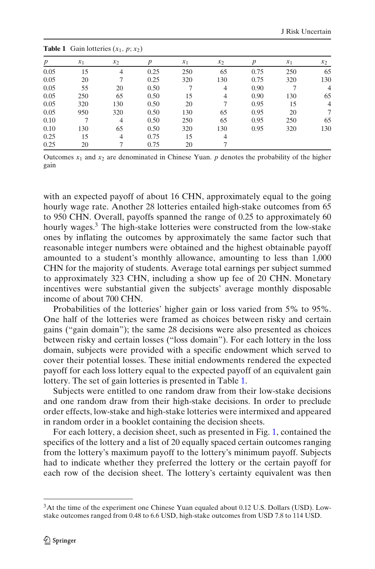| $x_1$ | $x_2$          |      | $x_1$ | $x_2$          | p    | $x_1$ | $x_2$          |
|-------|----------------|------|-------|----------------|------|-------|----------------|
| 15    | $\overline{4}$ | 0.25 | 250   | 65             | 0.75 | 250   | 65             |
| 20    | 7              | 0.25 | 320   | 130            | 0.75 | 320   | 130            |
| 55    | 20             | 0.50 | 7     | $\overline{4}$ | 0.90 |       | $\overline{4}$ |
| 250   | 65             | 0.50 | 15    | 4              | 0.90 | 130   | 65             |
| 320   | 130            | 0.50 | 20    | 7              | 0.95 | 15    | $\overline{4}$ |
| 950   | 320            | 0.50 | 130   | 65             | 0.95 | 20    | 7              |
| 7     | $\overline{4}$ | 0.50 | 250   | 65             | 0.95 | 250   | 65             |
| 130   | 65             | 0.50 | 320   | 130            | 0.95 | 320   | 130            |
| 15    | $\overline{4}$ | 0.75 | 15    | 4              |      |       |                |
| 20    | 7              | 0.75 | 20    |                |      |       |                |
|       |                |      |       |                |      |       |                |

**Table 1** Gain lotteries  $(x_1, p; x_2)$ 

Outcomes  $x_1$  and  $x_2$  are denominated in Chinese Yuan. *p* denotes the probability of the higher gain

with an expected payoff of about 16 CHN, approximately equal to the going hourly wage rate. Another 28 lotteries entailed high-stake outcomes from 65 to 950 CHN. Overall, payoffs spanned the range of 0.25 to approximately 60 hourly wages.<sup>3</sup> The high-stake lotteries were constructed from the low-stake ones by inflating the outcomes by approximately the same factor such that reasonable integer numbers were obtained and the highest obtainable payoff amounted to a student's monthly allowance, amounting to less than 1,000 CHN for the majority of students. Average total earnings per subject summed to approximately 323 CHN, including a show up fee of 20 CHN. Monetary incentives were substantial given the subjects' average monthly disposable income of about 700 CHN.

Probabilities of the lotteries' higher gain or loss varied from 5% to 95%. One half of the lotteries were framed as choices between risky and certain gains ("gain domain"); the same 28 decisions were also presented as choices between risky and certain losses ("loss domain"). For each lottery in the loss domain, subjects were provided with a specific endowment which served to cover their potential losses. These initial endowments rendered the expected payoff for each loss lottery equal to the expected payoff of an equivalent gain lottery. The set of gain lotteries is presented in Table 1.

Subjects were entitled to one random draw from their low-stake decisions and one random draw from their high-stake decisions. In order to preclude order effects, low-stake and high-stake lotteries were intermixed and appeared in random order in a booklet containing the decision sheets.

For each lottery, a decision sheet, such as presented in Fig. [1,](#page-6-0) contained the specifics of the lottery and a list of 20 equally spaced certain outcomes ranging from the lottery's maximum payoff to the lottery's minimum payoff. Subjects had to indicate whether they preferred the lottery or the certain payoff for each row of the decision sheet. The lottery's certainty equivalent was then

<sup>3</sup>At the time of the experiment one Chinese Yuan equaled about 0.12 U.S. Dollars (USD). Lowstake outcomes ranged from 0.48 to 6.6 USD, high-stake outcomes from USD 7.8 to 114 USD.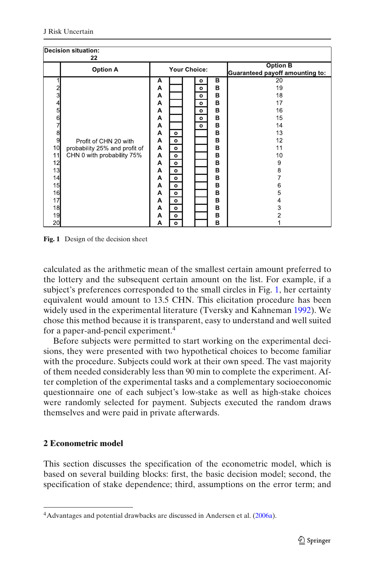<span id="page-6-0"></span>

| <b>Decision situation:</b><br>22                                                        |                                                                                      |                                                                                                  |                                                                                                                                                                                                         |  |                                                                                                    |                                                                                                  |                                                                                                   |  |  |
|-----------------------------------------------------------------------------------------|--------------------------------------------------------------------------------------|--------------------------------------------------------------------------------------------------|---------------------------------------------------------------------------------------------------------------------------------------------------------------------------------------------------------|--|----------------------------------------------------------------------------------------------------|--------------------------------------------------------------------------------------------------|---------------------------------------------------------------------------------------------------|--|--|
|                                                                                         | <b>Option A</b>                                                                      | Your Choice:                                                                                     |                                                                                                                                                                                                         |  |                                                                                                    |                                                                                                  | <b>Option B</b><br><b>Guaranteed payoff amounting to:</b>                                         |  |  |
| 3<br>5<br>6<br>8<br>9<br>10<br>11<br>12<br>13<br>14<br>15<br>16<br>17<br>18<br>19<br>20 | Profit of CHN 20 with<br>probability 25% and profit of<br>CHN 0 with probability 75% | Α<br>Α<br>Α<br>A<br>Α<br>Α<br>А<br>A<br>А<br>A<br>А<br>А<br>A<br>A<br>А<br>A<br>Α<br>A<br>Α<br>А | $\mathbf{o}$<br>$\mathbf{o}$<br>$\mathbf{o}$<br>$\mathbf{o}$<br>$\circ$<br>$\mathbf{o}$<br>$\mathbf{o}$<br>$\mathbf{o}$<br>$\mathbf{o}$<br>$\mathbf{o}$<br>$\mathbf{o}$<br>$\mathbf{o}$<br>$\mathbf{o}$ |  | $\mathbf{o}$<br>$\mathbf{o}$<br>$\mathbf{o}$<br>$\circ$<br>$\mathbf{o}$<br>$\circ$<br>$\mathbf{o}$ | в<br>в<br>в<br>в<br>в<br>в<br>в<br>в<br>в<br>в<br>в<br>в<br>в<br>в<br>в<br>в<br>в<br>в<br>в<br>в | 20<br>19<br>18<br>17<br>16<br>15<br>14<br>13<br>12<br>11<br>10<br>9<br>8<br>6<br>5<br>4<br>3<br>2 |  |  |

**Fig. 1** Design of the decision sheet

calculated as the arithmetic mean of the smallest certain amount preferred to the lottery and the subsequent certain amount on the list. For example, if a subject's preferences corresponded to the small circles in Fig. 1, her certainty equivalent would amount to 13.5 CHN. This elicitation procedure has been widely used in the experimental literature (Tversky and Kahnema[n](#page-32-0) [1992](#page-32-0)). We chose this method because it is transparent, easy to understand and well suited for a paper-and-pencil experiment.<sup>4</sup>

Before subjects were permitted to start working on the experimental decisions, they were presented with two hypothetical choices to become familiar with the procedure. Subjects could work at their own speed. The vast majority of them needed considerably less than 90 min to complete the experiment. After completion of the experimental tasks and a complementary socioeconomic questionnaire one of each subject's low-stake as well as high-stake choices were randomly selected for payment. Subjects executed the random draws themselves and were paid in private afterwards.

## **2 Econometric model**

This section discusses the specification of the econometric model, which is based on several building blocks: first, the basic decision model; second, the specification of stake dependence; third, assumptions on the error term; and

<sup>&</sup>lt;sup>4</sup>Advantages and potential drawbacks are discussed in Andersen et al[.](#page-30-0) [\(2006a](#page-30-0)).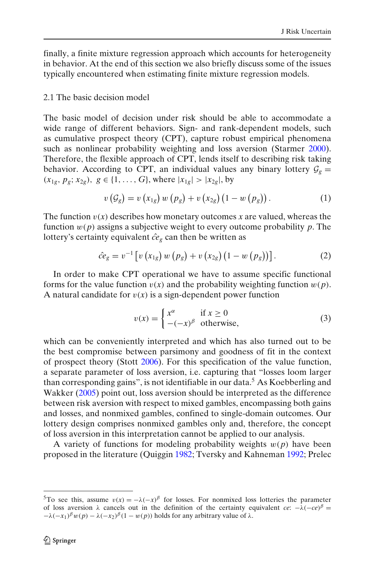finally, a finite mixture regression approach which accounts for heterogeneity in behavior. At the end of this section we also briefly discuss some of the issues typically encountered when estimating finite mixture regression models.

## 2.1 The basic decision model

The basic model of decision under risk should be able to accommodate a wide range of different behaviors. Sign- and rank-dependent models, such as cumulative prospect theory (CPT), capture robust empirical phenomena such as nonlinear probability weighting and loss aversion (Starme[r](#page-32-0) [2000\)](#page-32-0). Therefore, the flexible approach of CPT, lends itself to describing risk taking behavior. According to CPT, an individual values any binary lottery  $\mathcal{G}_{g}$  =  $(x_{1g}, p_g; x_{2g}), g \in \{1, \ldots, G\}$ , where  $|x_{1g}| > |x_{2g}|$ , by

$$
v(\mathcal{G}_{g}) = v(x_{1g}) w(p_{g}) + v(x_{2g}) (1 - w(p_{g})). \qquad (1)
$$

The function  $v(x)$  describes how monetary outcomes x are valued, whereas the function  $w(p)$  assigns a subjective weight to every outcome probability  $p$ . The lottery's certainty equivalent  $\hat{c}e_g$  can then be written as

$$
\hat{c}e_g = v^{-1} \left[ v \left( x_{1g} \right) w \left( p_g \right) + v \left( x_{2g} \right) \left( 1 - w \left( p_g \right) \right) \right]. \tag{2}
$$

In order to make CPT operational we have to assume specific functional forms for the value function  $v(x)$  and the probability weighting function  $w(p)$ . A natural candidate for  $v(x)$  is a sign-dependent power function

$$
v(x) = \begin{cases} x^{\alpha} & \text{if } x \ge 0\\ -(-x)^{\beta} & \text{otherwise,} \end{cases}
$$
 (3)

which can be conveniently interpreted and which has also turned out to be the best compromise between parsimony and goodness of fit in the context of prospect theory (Stot[t](#page-32-0) [2006](#page-32-0)). For this specification of the value function, a separate parameter of loss aversion, i.e. capturing that "losses loom larger than corresponding gains", is not identifiable in our data.5 As Koebberling and Wakke[r](#page-32-0) [\(2005](#page-32-0)) point out, loss aversion should be interpreted as the difference between risk aversion with respect to mixed gambles, encompassing both gains and losses, and nonmixed gambles, confined to single-domain outcomes. Our lottery design comprises nonmixed gambles only and, therefore, the concept of loss aversion in this interpretation cannot be applied to our analysis.

A variety of functions for modeling probability weights  $w(p)$  have been proposed in the literature (Quiggi[n](#page-32-0) [1982](#page-32-0); Tversky and Kahnema[n](#page-32-0) [1992](#page-32-0); Prele[c](#page-32-0)

<sup>&</sup>lt;sup>5</sup>To see this, assume  $v(x) = -\lambda(-x)$ <sup>β</sup> for losses. For nonmixed loss lotteries the parameter of loss aversion  $\lambda$  cancels out in the definition of the certainty equivalent *ce*:  $-\lambda(-ce)^{\beta}$  =  $-\lambda(-x_1)^{\beta}w(p) - \lambda(-x_2)^{\beta}(1-w(p))$  holds for any arbitrary value of  $\lambda$ .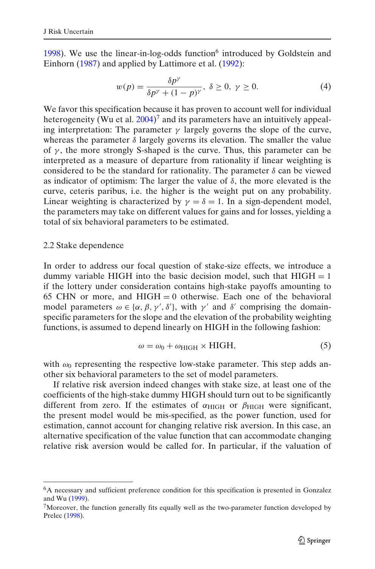[1998](#page-32-0)). We use the linear-in-log-odds function $6$  introduced by Goldstein and Einhor[n](#page-31-0) [\(1987\)](#page-31-0) and applied by Lattimore et al[.](#page-32-0) [\(1992](#page-32-0)):

$$
w(p) = \frac{\delta p^{\gamma}}{\delta p^{\gamma} + (1 - p)^{\gamma}}, \ \delta \ge 0, \ \gamma \ge 0.
$$
 (4)

We favor this specification because it has proven to account well for individual heterogeneity (Wu et al[.](#page-33-0)  $2004$ )<sup>7</sup> and its parameters have an intuitively appealing interpretation: The parameter  $\gamma$  largely governs the slope of the curve, whereas the parameter  $\delta$  largely governs its elevation. The smaller the value of  $\gamma$ , the more strongly S-shaped is the curve. Thus, this parameter can be interpreted as a measure of departure from rationality if linear weighting is considered to be the standard for rationality. The parameter  $\delta$  can be viewed as indicator of optimism: The larger the value of  $\delta$ , the more elevated is the curve, ceteris paribus, i.e. the higher is the weight put on any probability. Linear weighting is characterized by  $\gamma = \delta = 1$ . In a sign-dependent model, the parameters may take on different values for gains and for losses, yielding a total of six behavioral parameters to be estimated.

#### 2.2 Stake dependence

In order to address our focal question of stake-size effects, we introduce a dummy variable HIGH into the basic decision model, such that  $H I G H = 1$ if the lottery under consideration contains high-stake payoffs amounting to 65 CHN or more, and  $HIGH = 0$  otherwise. Each one of the behavioral model parameters  $\omega \in \{\alpha, \beta, \gamma', \delta'\}$ , with  $\gamma'$  and  $\delta'$  comprising the domainspecific parameters for the slope and the elevation of the probability weighting functions, is assumed to depend linearly on HIGH in the following fashion:

$$
\omega = \omega_0 + \omega_{\text{HIGH}} \times \text{HIGH},\tag{5}
$$

with  $\omega_0$  representing the respective low-stake parameter. This step adds another six behavioral parameters to the set of model parameters.

If relative risk aversion indeed changes with stake size, at least one of the coefficients of the high-stake dummy HIGH should turn out to be significantly different from zero. If the estimates of  $\alpha_{\text{HIGH}}$  or  $\beta_{\text{HIGH}}$  were significant, the present model would be mis-specified, as the power function, used for estimation, cannot account for changing relative risk aversion. In this case, an alternative specification of the value function that can accommodate changing relative risk aversion would be called for. In particular, if the valuation of

<sup>&</sup>lt;sup>6</sup>A necessary and sufficient preference condition for this specification is presented in Gonzalez and W[u](#page-31-0) [\(1999](#page-31-0)).

 $7$ Moreover, the function generally fits equally well as the two-parameter function developed by Prele[c](#page-32-0) [\(1998\)](#page-32-0).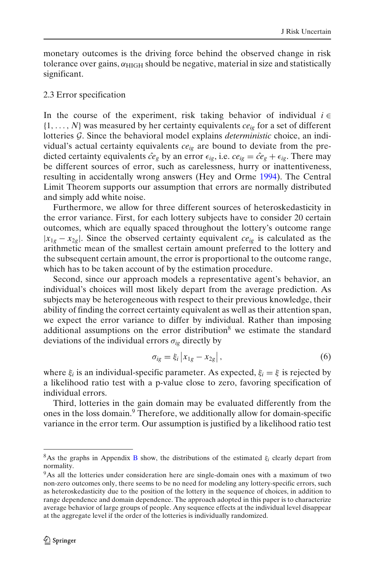monetary outcomes is the driving force behind the observed change in risk tolerance over gains,  $\alpha_{\text{HIGH}}$  should be negative, material in size and statistically significant.

#### 2.3 Error specification

In the course of the experiment, risk taking behavior of individual *i* ∈  $\{1, \ldots, N\}$  was measured by her certainty equivalents  $ce_{i\varrho}$  for a set of different lotteries G. Since the behavioral model explains *deterministic* choice, an individual's actual certainty equivalents *ceig* are bound to deviate from the predicted certainty equivalents  $\hat{ce}_g$  by an error  $\epsilon_{ig}$ , i.e.  $ce_{ig} = \hat{ce}_g + \epsilon_{ig}$ . There may be different sources of error, such as carelessness, hurry or inattentiveness, resulting in accidentally wrong answers (Hey and Orm[e](#page-31-0) [1994](#page-31-0)). The Central Limit Theorem supports our assumption that errors are normally distributed and simply add white noise.

Furthermore, we allow for three different sources of heteroskedasticity in the error variance. First, for each lottery subjects have to consider 20 certain outcomes, which are equally spaced throughout the lottery's outcome range  $|x_{1g} - x_{2g}|$ . Since the observed certainty equivalent  $ce_{ig}$  is calculated as the arithmetic mean of the smallest certain amount preferred to the lottery and the subsequent certain amount, the error is proportional to the outcome range, which has to be taken account of by the estimation procedure.

Second, since our approach models a representative agent's behavior, an individual's choices will most likely depart from the average prediction. As subjects may be heterogeneous with respect to their previous knowledge, their ability of finding the correct certainty equivalent as well as their attention span, we expect the error variance to differ by individual. Rather than imposing additional assumptions on the error distribution<sup>8</sup> we estimate the standard deviations of the individual errors  $\sigma_{ig}$  directly by

$$
\sigma_{ig} = \xi_i \left| x_{1g} - x_{2g} \right|,\tag{6}
$$

where  $\xi_i$  is an individual-specific parameter. As expected,  $\xi_i = \xi$  is rejected by a likelihood ratio test with a p-value close to zero, favoring specification of individual errors.

Third, lotteries in the gain domain may be evaluated differently from the ones in the loss domain.<sup>9</sup> Therefore, we additionally allow for domain-specific variance in the error term. Our assumption is justified by a likelihood ratio test

<sup>&</sup>lt;sup>8</sup>As the graphs in Appendix [B](#page-28-0) show, the distributions of the estimated  $\xi_i$  clearly depart from normality.

<sup>&</sup>lt;sup>9</sup>As all the lotteries under consideration here are single-domain ones with a maximum of two non-zero outcomes only, there seems to be no need for modeling any lottery-specific errors, such as heteroskedasticity due to the position of the lottery in the sequence of choices, in addition to range dependence and domain dependence. The approach adopted in this paper is to characterize average behavior of large groups of people. Any sequence effects at the individual level disappear at the aggregate level if the order of the lotteries is individually randomized.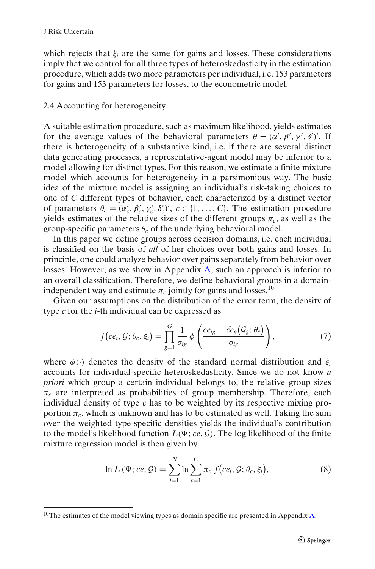<span id="page-10-0"></span>which rejects that  $\xi$ <sub>*i*</sub> are the same for gains and losses. These considerations imply that we control for all three types of heteroskedasticity in the estimation procedure, which adds two more parameters per individual, i.e. 153 parameters for gains and 153 parameters for losses, to the econometric model.

### 2.4 Accounting for heterogeneity

A suitable estimation procedure, such as maximum likelihood, yields estimates for the average values of the behavioral parameters  $\theta = (\alpha', \beta', \gamma', \delta')'$ . If there is heterogeneity of a substantive kind, i.e. if there are several distinct data generating processes, a representative-agent model may be inferior to a model allowing for distinct types. For this reason, we estimate a finite mixture model which accounts for heterogeneity in a parsimonious way. The basic idea of the mixture model is assigning an individual's risk-taking choices to one of *C* different types of behavior, each characterized by a distinct vector of parameters  $\theta_c = (\alpha'_c, \beta'_c, \gamma'_c, \delta'_c)'$ ,  $c \in \{1, ..., C\}$ . The estimation procedure yields estimates of the relative sizes of the different groups  $\pi_c$ , as well as the group-specific parameters  $\theta_c$  of the underlying behavioral model.

In this paper we define groups across decision domains, i.e. each individual is classified on the basis of *all* of her choices over both gains and losses. In principle, one could analyze behavior over gains separately from behavior over losses. However, as we show in Appendix [A,](#page-26-0) such an approach is inferior to an overall classification. Therefore, we define behavioral groups in a domainindependent way and estimate  $\pi_c$  jointly for gains and losses.<sup>10</sup>

Given our assumptions on the distribution of the error term, the density of type *c* for the *i*-th individual can be expressed as

$$
f(ce_i, G; \theta_c, \xi_i) = \prod_{g=1}^{G} \frac{1}{\sigma_{ig}} \phi \left( \frac{ce_{ig} - \hat{ce}_g(\mathcal{G}_g; \theta_c)}{\sigma_{ig}} \right), \tag{7}
$$

where  $\phi(\cdot)$  denotes the density of the standard normal distribution and  $\xi_i$ accounts for individual-specific heteroskedasticity. Since we do not know *a priori* which group a certain individual belongs to, the relative group sizes  $\pi_c$  are interpreted as probabilities of group membership. Therefore, each individual density of type *c* has to be weighted by its respective mixing proportion  $\pi_c$ , which is unknown and has to be estimated as well. Taking the sum over the weighted type-specific densities yields the individual's contribution to the model's likelihood function  $L(\Psi; ce, \mathcal{G})$ . The log likelihood of the finite mixture regression model is then given by

$$
\ln L(\Psi; ce, \mathcal{G}) = \sum_{i=1}^{N} \ln \sum_{c=1}^{C} \pi_c f(ce_i, \mathcal{G}; \theta_c, \xi_i),
$$
\n(8)

 $10$ The estimates of the model viewing types as domain specific are presented in Appendix [A.](#page-26-0)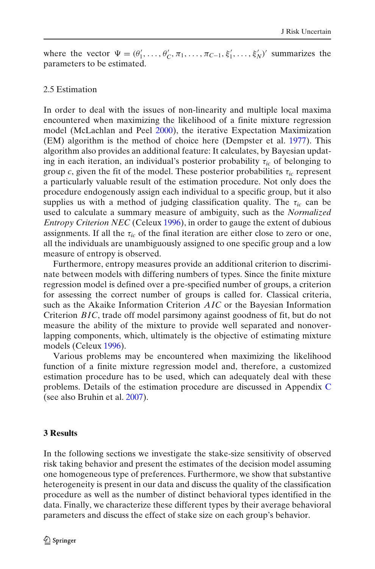<span id="page-11-0"></span>where the vector  $\Psi = (\theta'_1, \ldots, \theta'_C, \pi_1, \ldots, \pi_{C-1}, \xi'_1, \ldots, \xi'_N)$ ' summarizes the parameters to be estimated.

#### 2.5 Estimation

In order to deal with the issues of non-linearity and multiple local maxima encountered when maximizing the likelihood of a finite mixture regression model (McLachlan and Pee[l](#page-32-0) [2000\)](#page-32-0), the iterative Expectation Maximization (EM) algorithm is the method of choice here (Dempster et al[.](#page-31-0) [1977\)](#page-31-0). This algorithm also provides an additional feature: It calculates, by Bayesian updating in each iteration, an individual's posterior probability  $\tau_{ic}$  of belonging to group *c*, given the fit of the model. These posterior probabilities  $\tau_{ic}$  represent a particularly valuable result of the estimation procedure. Not only does the procedure endogenously assign each individual to a specific group, but it also supplies us with a method of judging classification quality. The  $\tau_{ic}$  can be used to calculate a summary measure of ambiguity, such as the *Normalized Entropy Criterion NEC* (Celeu[x](#page-31-0) [1996\)](#page-31-0), in order to gauge the extent of dubious assignments. If all the  $\tau_{ic}$  of the final iteration are either close to zero or one, all the individuals are unambiguously assigned to one specific group and a low measure of entropy is observed.

Furthermore, entropy measures provide an additional criterion to discriminate between models with differing numbers of types. Since the finite mixture regression model is defined over a pre-specified number of groups, a criterion for assessing the correct number of groups is called for. Classical criteria, such as the Akaike Information Criterion *AIC* or the Bayesian Information Criterion *BIC*, trade off model parsimony against goodness of fit, but do not measure the ability of the mixture to provide well separated and nonoverlapping components, which, ultimately is the objective of estimating mixture models (Celeu[x](#page-31-0) [1996\)](#page-31-0).

Various problems may be encountered when maximizing the likelihood function of a finite mixture regression model and, therefore, a customized estimation procedure has to be used, which can adequately deal with these problems. Details of the estimation procedure are discussed in Appendix [C](#page-28-0) (see also Bruhin et al[.](#page-31-0) [2007\)](#page-31-0).

#### **3 Results**

In the following sections we investigate the stake-size sensitivity of observed risk taking behavior and present the estimates of the decision model assuming one homogeneous type of preferences. Furthermore, we show that substantive heterogeneity is present in our data and discuss the quality of the classification procedure as well as the number of distinct behavioral types identified in the data. Finally, we characterize these different types by their average behavioral parameters and discuss the effect of stake size on each group's behavior.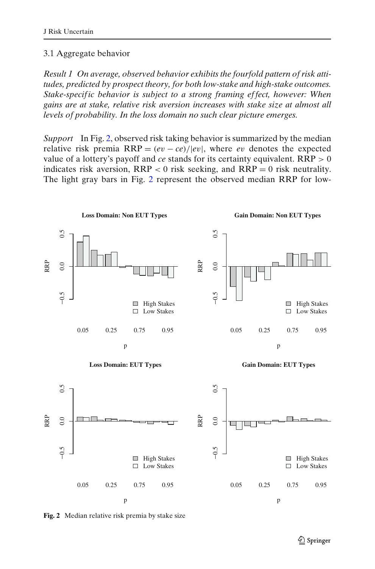### <span id="page-12-0"></span>3.1 Aggregate behavior

*Result 1 On average, observed behavior exhibits the fourfold pattern of risk attitudes, predicted by prospect theory, for both low-stake and high-stake outcomes. Stake-specif ic behavior is subject to a strong framing ef fect, however: When gains are at stake, relative risk aversion increases with stake size at almost all levels of probability. In the loss domain no such clear picture emerges.*

*Support* In Fig. 2, observed risk taking behavior is summarized by the median relative risk premia  $RRP = (ev - ce)/|ev|$ , where *ev* denotes the expected value of a lottery's payoff and *ce* stands for its certainty equivalent.  $RRP > 0$ indicates risk aversion,  $RRP < 0$  risk seeking, and  $RRP = 0$  risk neutrality. The light gray bars in Fig. 2 represent the observed median RRP for low-



**Fig. 2** Median relative risk premia by stake size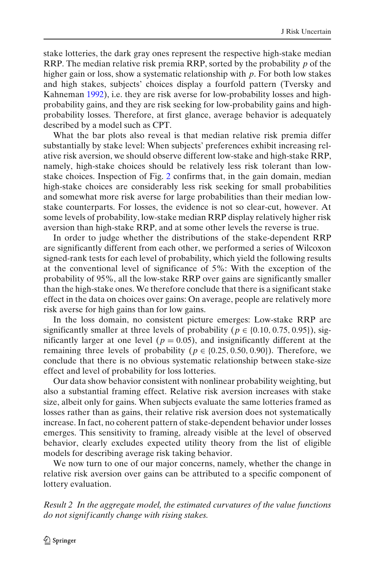stake lotteries, the dark gray ones represent the respective high-stake median RRP. The median relative risk premia RRP, sorted by the probability *p* of the higher gain or loss, show a systematic relationship with *p*. For both low stakes and high stakes, subjects' choices display a fourfold pattern (Tversky and Kahnema[n](#page-32-0) [1992\)](#page-32-0), i.e. they are risk averse for low-probability losses and highprobability gains, and they are risk seeking for low-probability gains and highprobability losses. Therefore, at first glance, average behavior is adequately described by a model such as CPT.

What the bar plots also reveal is that median relative risk premia differ substantially by stake level: When subjects' preferences exhibit increasing relative risk aversion, we should observe different low-stake and high-stake RRP, namely, high-stake choices should be relatively less risk tolerant than lowstake choices. Inspection of Fig. [2](#page-12-0) confirms that, in the gain domain, median high-stake choices are considerably less risk seeking for small probabilities and somewhat more risk averse for large probabilities than their median lowstake counterparts. For losses, the evidence is not so clear-cut, however. At some levels of probability, low-stake median RRP display relatively higher risk aversion than high-stake RRP, and at some other levels the reverse is true.

In order to judge whether the distributions of the stake-dependent RRP are significantly different from each other, we performed a series of Wilcoxon signed-rank tests for each level of probability, which yield the following results at the conventional level of significance of 5%: With the exception of the probability of 95%, all the low-stake RRP over gains are significantly smaller than the high-stake ones. We therefore conclude that there is a significant stake effect in the data on choices over gains: On average, people are relatively more risk averse for high gains than for low gains.

In the loss domain, no consistent picture emerges: Low-stake RRP are significantly smaller at three levels of probability ( $p \in \{0.10, 0.75, 0.95\}$ ), significantly larger at one level ( $p = 0.05$ ), and insignificantly different at the remaining three levels of probability ( $p \in \{0.25, 0.50, 0.90\}$ ). Therefore, we conclude that there is no obvious systematic relationship between stake-size effect and level of probability for loss lotteries.

Our data show behavior consistent with nonlinear probability weighting, but also a substantial framing effect. Relative risk aversion increases with stake size, albeit only for gains. When subjects evaluate the same lotteries framed as losses rather than as gains, their relative risk aversion does not systematically increase. In fact, no coherent pattern of stake-dependent behavior under losses emerges. This sensitivity to framing, already visible at the level of observed behavior, clearly excludes expected utility theory from the list of eligible models for describing average risk taking behavior.

We now turn to one of our major concerns, namely, whether the change in relative risk aversion over gains can be attributed to a specific component of lottery evaluation.

*Result 2 In the aggregate model, the estimated curvatures of the value functions do not signif icantly change with rising stakes.*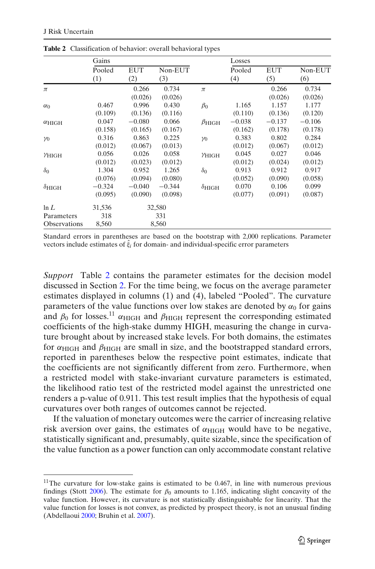|                     | Gains    |            |          |                     | Losses   |            |          |
|---------------------|----------|------------|----------|---------------------|----------|------------|----------|
|                     | Pooled   | <b>EUT</b> | Non-EUT  |                     | Pooled   | <b>EUT</b> | Non-EUT  |
|                     | (1)      | (2)        | (3)      |                     | (4)      | (5)        | (6)      |
| $\pi$               |          | 0.266      | 0.734    | $\pi$               |          | 0.266      | 0.734    |
|                     |          | (0.026)    | (0.026)  |                     |          | (0.026)    | (0.026)  |
| $\alpha_0$          | 0.467    | 0.996      | 0.430    | $\beta_0$           | 1.165    | 1.157      | 1.177    |
|                     | (0.109)  | (0.136)    | (0.116)  |                     | (0.110)  | (0.136)    | (0.120)  |
| $\alpha$ HIGH       | 0.047    | $-0.080$   | 0.066    | $\beta_{\rm HIGH}$  | $-0.038$ | $-0.137$   | $-0.106$ |
|                     | (0.158)  | (0.165)    | (0.167)  |                     | (0.162)  | (0.178)    | (0.178)  |
| $\gamma_0$          | 0.316    | 0.863      | 0.225    | $\gamma_0$          | 0.383    | 0.802      | 0.284    |
|                     | (0.012)  | (0.067)    | (0.013)  |                     | (0.012)  | (0.067)    | (0.012)  |
| <b>УНІGН</b>        | 0.056    | 0.026      | 0.058    | <b>YHIGH</b>        | 0.045    | 0.027      | 0.046    |
|                     | (0.012)  | (0.023)    | (0.012)  |                     | (0.012)  | (0.024)    | (0.012)  |
| $\delta_0$          | 1.304    | 0.952      | 1.265    | $\delta_0$          | 0.913    | 0.912      | 0.917    |
|                     | (0.076)  | (0.094)    | (0.080)  |                     | (0.052)  | (0.090)    | (0.058)  |
| $\delta_{\rm HIGH}$ | $-0.324$ | $-0.040$   | $-0.344$ | $\delta_{\rm HIGH}$ | 0.070    | 0.106      | 0.099    |
|                     | (0.095)  | (0.090)    | (0.098)  |                     | (0.077)  | (0.091)    | (0.087)  |
| ln L                | 31,536   |            | 32,580   |                     |          |            |          |
| Parameters          | 318      |            | 331      |                     |          |            |          |
| Observations        | 8,560    |            | 8,560    |                     |          |            |          |

<span id="page-14-0"></span>**Table 2** Classification of behavior: overall behavioral types

Standard errors in parentheses are based on the bootstrap with 2,000 replications. Parameter vectors include estimates of  $\hat{\xi}_i$  for domain- and individual-specific error parameters

*Support* Table 2 contains the parameter estimates for the decision model discussed in Section [2.](#page-6-0) For the time being, we focus on the average parameter estimates displayed in columns (1) and (4), labeled "Pooled". The curvature parameters of the value functions over low stakes are denoted by  $\alpha_0$  for gains and  $\beta_0$  for losses.<sup>11</sup>  $\alpha_{\text{HIGH}}$  and  $\beta_{\text{HIGH}}$  represent the corresponding estimated coefficients of the high-stake dummy HIGH, measuring the change in curvature brought about by increased stake levels. For both domains, the estimates for  $\alpha_{\text{HIGH}}$  and  $\beta_{\text{HIGH}}$  are small in size, and the bootstrapped standard errors, reported in parentheses below the respective point estimates, indicate that the coefficients are not significantly different from zero. Furthermore, when a restricted model with stake-invariant curvature parameters is estimated, the likelihood ratio test of the restricted model against the unrestricted one renders a p-value of 0.911. This test result implies that the hypothesis of equal curvatures over both ranges of outcomes cannot be rejected.

If the valuation of monetary outcomes were the carrier of increasing relative risk aversion over gains, the estimates of  $\alpha_{\text{HIGH}}$  would have to be negative, statistically significant and, presumably, quite sizable, since the specification of the value function as a power function can only accommodate constant relative

 $11$ The curvature for low-stake gains is estimated to be 0.467, in line with numerous previous findings (S[t](#page-32-0)ott [2006](#page-32-0)). The estimate for  $\beta_0$  amounts to 1.165, indicating slight concavity of the value function. However, its curvature is not statistically distinguishable for linearity. That the value function for losses is not convex, as predicted by prospect theory, is not an unusual finding (Abdellaou[i](#page-30-0) [2000](#page-30-0); Bruhin et al[.](#page-31-0) [2007\)](#page-31-0).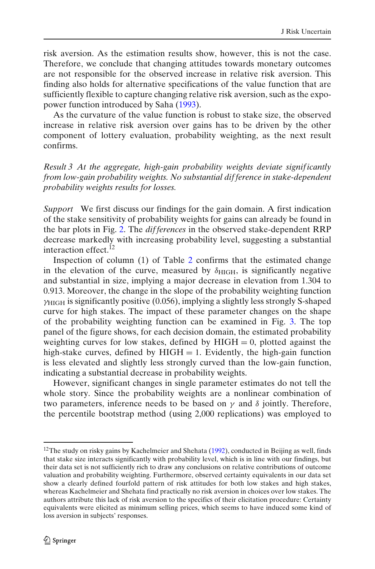risk aversion. As the estimation results show, however, this is not the case. Therefore, we conclude that changing attitudes towards monetary outcomes are not responsible for the observed increase in relative risk aversion. This finding also holds for alternative specifications of the value function that are sufficiently flexible to capture changing relative risk aversion, such as the expopower function introduced by Sah[a](#page-32-0) [\(1993\)](#page-32-0).

As the curvature of the value function is robust to stake size, the observed increase in relative risk aversion over gains has to be driven by the other component of lottery evaluation, probability weighting, as the next result confirms.

*Result 3 At the aggregate, high-gain probability weights deviate signif icantly from low-gain probability weights. No substantial dif ference in stake-dependent probability weights results for losses.*

*Support* We first discuss our findings for the gain domain. A first indication of the stake sensitivity of probability weights for gains can already be found in the bar plots in Fig. [2.](#page-12-0) The *dif ferences* in the observed stake-dependent RRP decrease markedly with increasing probability level, suggesting a substantial interaction effect. $^{12}$ 

Inspection of column (1) of Table [2](#page-14-0) confirms that the estimated change in the elevation of the curve, measured by  $\delta_{\text{HIGH}}$ , is significantly negative and substantial in size, implying a major decrease in elevation from 1.304 to 0.913. Moreover, the change in the slope of the probability weighting function  $\gamma$ <sub>HIGH</sub> is significantly positive (0.056), implying a slightly less strongly S-shaped curve for high stakes. The impact of these parameter changes on the shape of the probability weighting function can be examined in Fig. [3.](#page-16-0) The top panel of the figure shows, for each decision domain, the estimated probability weighting curves for low stakes, defined by  $HIGH = 0$ , plotted against the high-stake curves, defined by  $HIGH = 1$ . Evidently, the high-gain function is less elevated and slightly less strongly curved than the low-gain function, indicating a substantial decrease in probability weights.

However, significant changes in single parameter estimates do not tell the whole story. Since the probability weights are a nonlinear combination of two parameters, inference needs to be based on  $\gamma$  and  $\delta$  jointly. Therefore, the percentile bootstrap method (using 2,000 replications) was employed to

 $12$ The study on risky g[a](#page-32-0)ins by Kachelmeier and Shehata [\(1992\)](#page-32-0), conducted in Beijing as well, finds that stake size interacts significantly with probability level, which is in line with our findings, but their data set is not sufficiently rich to draw any conclusions on relative contributions of outcome valuation and probability weighting. Furthermore, observed certainty equivalents in our data set show a clearly defined fourfold pattern of risk attitudes for both low stakes and high stakes, whereas Kachelmeier and Shehata find practically no risk aversion in choices over low stakes. The authors attribute this lack of risk aversion to the specifics of their elicitation procedure: Certainty equivalents were elicited as minimum selling prices, which seems to have induced some kind of loss aversion in subjects' responses.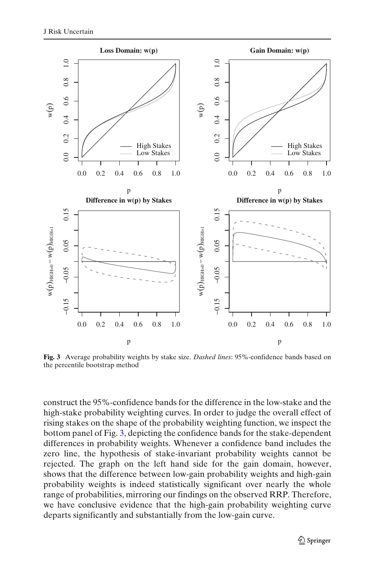<span id="page-16-0"></span>

**Fig. 3** Average probability weights by stake size. *Dashed lines*: 95%-confidence bands based on the percentile bootstrap method

construct the 95%-confidence bands for the difference in the low-stake and the high-stake probability weighting curves. In order to judge the overall effect of rising stakes on the shape of the probability weighting function, we inspect the bottom panel of Fig. 3, depicting the confidence bands for the stake-dependent differences in probability weights. Whenever a confidence band includes the zero line, the hypothesis of stake-invariant probability weights cannot be rejected. The graph on the left hand side for the gain domain, however, shows that the difference between low-gain probability weights and high-gain probability weights is indeed statistically significant over nearly the whole range of probabilities, mirroring our findings on the observed RRP. Therefore, we have conclusive evidence that the high-gain probability weighting curve departs significantly and substantially from the low-gain curve.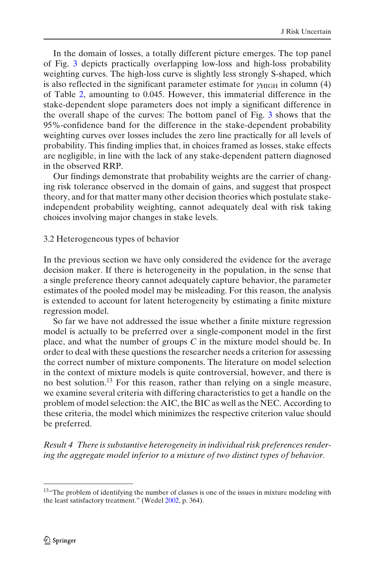In the domain of losses, a totally different picture emerges. The top panel of Fig. [3](#page-16-0) depicts practically overlapping low-loss and high-loss probability weighting curves. The high-loss curve is slightly less strongly S-shaped, which is also reflected in the significant parameter estimate for  $\gamma_{\text{HIGH}}$  in column (4) of Table [2,](#page-14-0) amounting to 0.045. However, this immaterial difference in the stake-dependent slope parameters does not imply a significant difference in the overall shape of the curves: The bottom panel of Fig. [3](#page-16-0) shows that the 95%-confidence band for the difference in the stake-dependent probability weighting curves over losses includes the zero line practically for all levels of probability. This finding implies that, in choices framed as losses, stake effects are negligible, in line with the lack of any stake-dependent pattern diagnosed in the observed RRP.

Our findings demonstrate that probability weights are the carrier of changing risk tolerance observed in the domain of gains, and suggest that prospect theory, and for that matter many other decision theories which postulate stakeindependent probability weighting, cannot adequately deal with risk taking choices involving major changes in stake levels.

## 3.2 Heterogeneous types of behavior

In the previous section we have only considered the evidence for the average decision maker. If there is heterogeneity in the population, in the sense that a single preference theory cannot adequately capture behavior, the parameter estimates of the pooled model may be misleading. For this reason, the analysis is extended to account for latent heterogeneity by estimating a finite mixture regression model.

So far we have not addressed the issue whether a finite mixture regression model is actually to be preferred over a single-component model in the first place, and what the number of groups *C* in the mixture model should be. In order to deal with these questions the researcher needs a criterion for assessing the correct number of mixture components. The literature on model selection in the context of mixture models is quite controversial, however, and there is no best solution.<sup>13</sup> For this reason, rather than relying on a single measure, we examine several criteria with differing characteristics to get a handle on the problem of model selection: the AIC, the BIC as well as the NEC. According to these criteria, the model which minimizes the respective criterion value should be preferred.

*Result 4 There is substantive heterogeneity in individual risk preferences rendering the aggregate model inferior to a mixture of two distinct types of behavior.*

<sup>&</sup>lt;sup>13"</sup>The problem of identifying the number of classes is one of the issues in mixture modeling with the least satisfactory treatment." (Wede[l](#page-33-0) [2002,](#page-33-0) p. 364).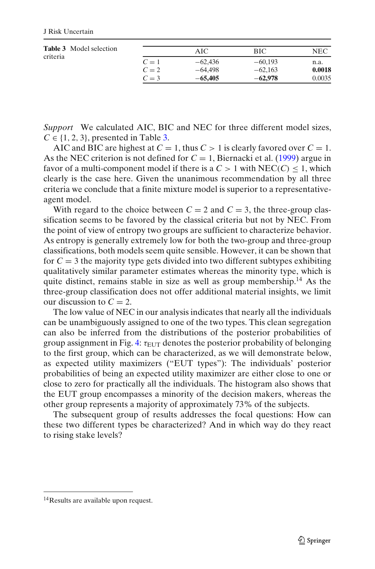| <b>Table 3</b> Model selection<br>criteria |       | AIC       | BIC       | <b>NEC</b> |
|--------------------------------------------|-------|-----------|-----------|------------|
|                                            | $C=1$ | $-62,436$ | $-60.193$ | n.a.       |
|                                            | $C=2$ | $-64.498$ | $-62.163$ | 0.0018     |
|                                            | $C=3$ | $-65,405$ | $-62.978$ | 0.0035     |

*Support* We calculated AIC, BIC and NEC for three different model sizes,  $C \in \{1, 2, 3\}$ , presented in Table 3.

AIC and BIC are highest at  $C = 1$ , thus  $C > 1$  is clearly favored over  $C = 1$ . As the NEC criterion is not defined for  $C = 1$ , Biernacki et al[.](#page-31-0) [\(1999\)](#page-31-0) argue in favor of a multi-component model if there is a  $C > 1$  with NEC( $C$ ) < 1, which clearly is the case here. Given the unanimous recommendation by all three criteria we conclude that a finite mixture model is superior to a representativeagent model.

With regard to the choice between  $C = 2$  and  $C = 3$ , the three-group classification seems to be favored by the classical criteria but not by NEC. From the point of view of entropy two groups are sufficient to characterize behavior. As entropy is generally extremely low for both the two-group and three-group classifications, both models seem quite sensible. However, it can be shown that for  $C = 3$  the majority type gets divided into two different subtypes exhibiting qualitatively similar parameter estimates whereas the minority type, which is quite distinct, remains stable in size as well as group membership.<sup>14</sup> As the three-group classification does not offer additional material insights, we limit our discussion to  $C = 2$ .

The low value of NEC in our analysis indicates that nearly all the individuals can be unambiguously assigned to one of the two types. This clean segregation can also be inferred from the distributions of the posterior probabilities of group assignment in Fig. [4:](#page-19-0)  $\tau_{\text{EUT}}$  denotes the posterior probability of belonging to the first group, which can be characterized, as we will demonstrate below, as expected utility maximizers ("EUT types"): The individuals' posterior probabilities of being an expected utility maximizer are either close to one or close to zero for practically all the individuals. The histogram also shows that the EUT group encompasses a minority of the decision makers, whereas the other group represents a majority of approximately 73% of the subjects.

The subsequent group of results addresses the focal questions: How can these two different types be characterized? And in which way do they react to rising stake levels?

<sup>14</sup>Results are available upon request.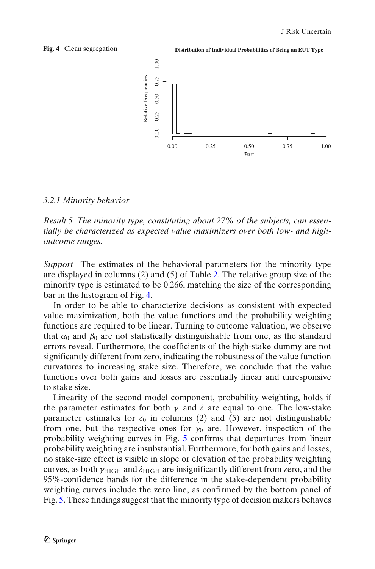<span id="page-19-0"></span>

**Distribution of Individual Probabilities of Being an EUT Type**



*3.2.1 Minority behavior*

*Result 5 The minority type, constituting about 27% of the subjects, can essentially be characterized as expected value maximizers over both low- and highoutcome ranges.*

*Support* The estimates of the behavioral parameters for the minority type are displayed in columns (2) and (5) of Table [2.](#page-14-0) The relative group size of the minority type is estimated to be 0.266, matching the size of the corresponding bar in the histogram of Fig. 4.

In order to be able to characterize decisions as consistent with expected value maximization, both the value functions and the probability weighting functions are required to be linear. Turning to outcome valuation, we observe that  $\alpha_0$  and  $\beta_0$  are not statistically distinguishable from one, as the standard errors reveal. Furthermore, the coefficients of the high-stake dummy are not significantly different from zero, indicating the robustness of the value function curvatures to increasing stake size. Therefore, we conclude that the value functions over both gains and losses are essentially linear and unresponsive to stake size.

Linearity of the second model component, probability weighting, holds if the parameter estimates for both  $\gamma$  and  $\delta$  are equal to one. The low-stake parameter estimates for  $\delta_0$  in columns (2) and (5) are not distinguishable from one, but the respective ones for  $\gamma_0$  are. However, inspection of the probability weighting curves in Fig. [5](#page-20-0) confirms that departures from linear probability weighting are insubstantial. Furthermore, for both gains and losses, no stake-size effect is visible in slope or elevation of the probability weighting curves, as both  $\gamma_{\text{HIGH}}$  and  $\delta_{\text{HIGH}}$  are insignificantly different from zero, and the 95%-confidence bands for the difference in the stake-dependent probability weighting curves include the zero line, as confirmed by the bottom panel of Fig. [5.](#page-20-0) These findings suggest that the minority type of decision makers behaves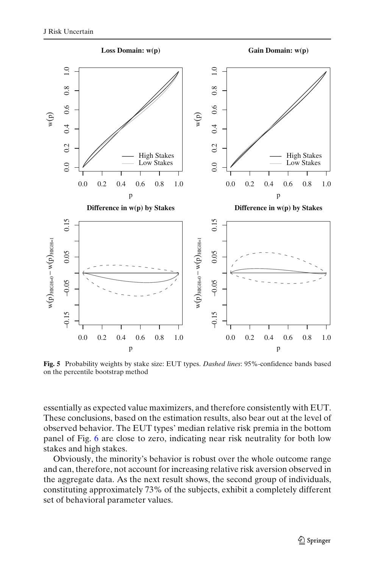<span id="page-20-0"></span>

**Fig. 5** Probability weights by stake size: EUT types. *Dashed lines*: 95%-confidence bands based on the percentile bootstrap method

essentially as expected value maximizers, and therefore consistently with EUT. These conclusions, based on the estimation results, also bear out at the level of observed behavior. The EUT types' median relative risk premia in the bottom panel of Fig. [6](#page-21-0) are close to zero, indicating near risk neutrality for both low stakes and high stakes.

Obviously, the minority's behavior is robust over the whole outcome range and can, therefore, not account for increasing relative risk aversion observed in the aggregate data. As the next result shows, the second group of individuals, constituting approximately 73% of the subjects, exhibit a completely different set of behavioral parameter values.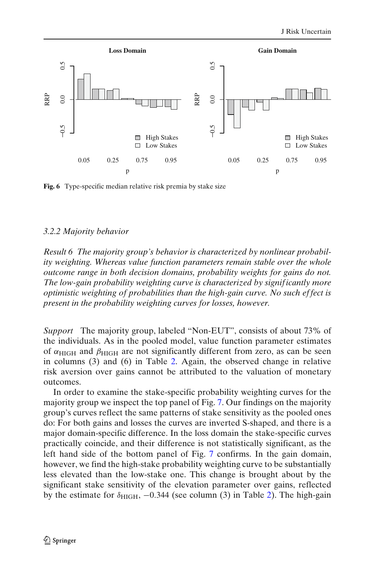<span id="page-21-0"></span>

**Fig. 6** Type-specific median relative risk premia by stake size

#### *3.2.2 Majority behavior*

*Result 6 The majority group's behavior is characterized by nonlinear probability weighting. Whereas value function parameters remain stable over the whole outcome range in both decision domains, probability weights for gains do not. The low-gain probability weighting curve is characterized by signif icantly more optimistic weighting of probabilities than the high-gain curve. No such ef fect is present in the probability weighting curves for losses, however.*

*Support* The majority group, labeled "Non-EUT", consists of about 73% of the individuals. As in the pooled model, value function parameter estimates of  $\alpha_{\text{HIGH}}$  and  $\beta_{\text{HIGH}}$  are not significantly different from zero, as can be seen in columns (3) and (6) in Table [2.](#page-14-0) Again, the observed change in relative risk aversion over gains cannot be attributed to the valuation of monetary outcomes.

In order to examine the stake-specific probability weighting curves for the majority group we inspect the top panel of Fig. [7.](#page-22-0) Our findings on the majority group's curves reflect the same patterns of stake sensitivity as the pooled ones do: For both gains and losses the curves are inverted S-shaped, and there is a major domain-specific difference. In the loss domain the stake-specific curves practically coincide, and their difference is not statistically significant, as the left hand side of the bottom panel of Fig. [7](#page-22-0) confirms. In the gain domain, however, we find the high-stake probability weighting curve to be substantially less elevated than the low-stake one. This change is brought about by the significant stake sensitivity of the elevation parameter over gains, reflected by the estimate for  $\delta_{\text{HIGH}}$ , -0.344 (see column (3) in Table [2\)](#page-14-0). The high-gain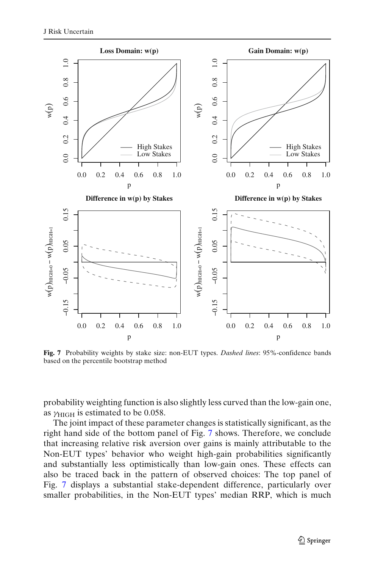<span id="page-22-0"></span>

**Fig. 7** Probability weights by stake size: non-EUT types. *Dashed lines*: 95%-confidence bands based on the percentile bootstrap method

probability weighting function is also slightly less curved than the low-gain one, as  $\gamma$ <sub>HIGH</sub> is estimated to be 0.058.

The joint impact of these parameter changes is statistically significant, as the right hand side of the bottom panel of Fig. 7 shows. Therefore, we conclude that increasing relative risk aversion over gains is mainly attributable to the Non-EUT types' behavior who weight high-gain probabilities significantly and substantially less optimistically than low-gain ones. These effects can also be traced back in the pattern of observed choices: The top panel of Fig. 7 displays a substantial stake-dependent difference, particularly over smaller probabilities, in the Non-EUT types' median RRP, which is much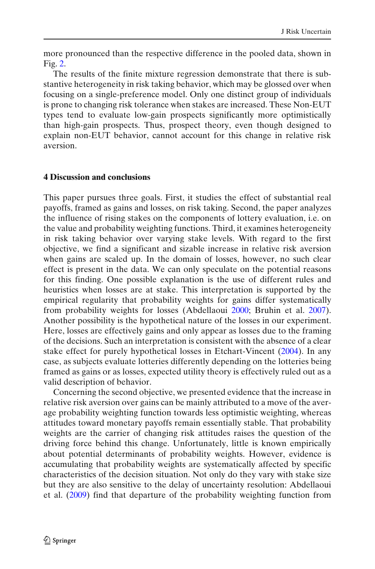<span id="page-23-0"></span>more pronounced than the respective difference in the pooled data, shown in Fig. [2.](#page-12-0)

The results of the finite mixture regression demonstrate that there is substantive heterogeneity in risk taking behavior, which may be glossed over when focusing on a single-preference model. Only one distinct group of individuals is prone to changing risk tolerance when stakes are increased. These Non-EUT types tend to evaluate low-gain prospects significantly more optimistically than high-gain prospects. Thus, prospect theory, even though designed to explain non-EUT behavior, cannot account for this change in relative risk aversion.

#### **4 Discussion and conclusions**

This paper pursues three goals. First, it studies the effect of substantial real payoffs, framed as gains and losses, on risk taking. Second, the paper analyzes the influence of rising stakes on the components of lottery evaluation, i.e. on the value and probability weighting functions. Third, it examines heterogeneity in risk taking behavior over varying stake levels. With regard to the first objective, we find a significant and sizable increase in relative risk aversion when gains are scaled up. In the domain of losses, however, no such clear effect is present in the data. We can only speculate on the potential reasons for this finding. One possible explanation is the use of different rules and heuristics when losses are at stake. This interpretation is supported by the empirical regularity that probability weights for gains differ systematically from probability weights for losses (Abdellaou[i](#page-30-0) [2000;](#page-30-0) Bruhin et al[.](#page-31-0) [2007\)](#page-31-0). Another possibility is the hypothetical nature of the losses in our experiment. Here, losses are effectively gains and only appear as losses due to the framing of the decisions. Such an interpretation is consistent with the absence of a clear stake effect for purely hypothetical losses in Etchart-Vincen[t](#page-31-0) [\(2004\)](#page-31-0). In any case, as subjects evaluate lotteries differently depending on the lotteries being framed as gains or as losses, expected utility theory is effectively ruled out as a valid description of behavior.

Concerning the second objective, we presented evidence that the increase in relative risk aversion over gains can be mainly attributed to a move of the average probability weighting function towards less optimistic weighting, whereas attitudes toward monetary payoffs remain essentially stable. That probability weights are the carrier of changing risk attitudes raises the question of the driving force behind this change. Unfortunately, little is known empirically about potential determinants of probability weights. However, evidence is accumulating that probability weights are systematically affected by specific characteristics of the decision situation. Not only do they vary with stake size but they are also sensitive to the delay of uncertainty resolution: Abdellaoui et al[.](#page-30-0) [\(2009](#page-30-0)) find that departure of the probability weighting function from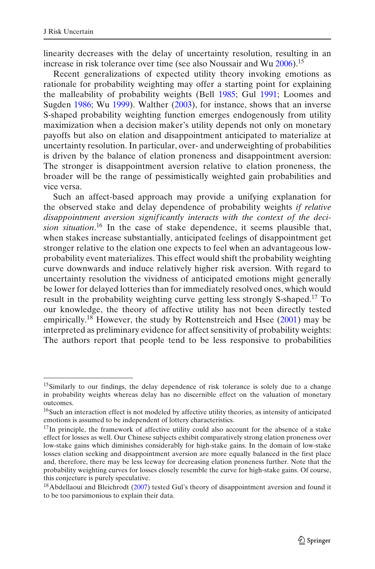linearity decreases with the delay of uncertainty resolution, resulting in an increase in risk tolerance over time (see also No[u](#page-32-0)ssair and Wu  $2006$ ).<sup>15</sup>

Recent generalizations of expected utility theory invoking emotions as rationale for probability weighting may offer a starting point for explaining the malleability of probability weights (Bel[l](#page-31-0) [1985](#page-31-0); Gu[l](#page-31-0) [1991](#page-31-0); Loomes and Sugde[n](#page-32-0) [1986;](#page-32-0) W[u](#page-33-0) [1999\)](#page-33-0). Walthe[r](#page-33-0) [\(2003\)](#page-33-0), for instance, shows that an inverse S-shaped probability weighting function emerges endogenously from utility maximization when a decision maker's utility depends not only on monetary payoffs but also on elation and disappointment anticipated to materialize at uncertainty resolution. In particular, over- and underweighting of probabilities is driven by the balance of elation proneness and disappointment aversion: The stronger is disappointment aversion relative to elation proneness, the broader will be the range of pessimistically weighted gain probabilities and vice versa.

Such an affect-based approach may provide a unifying explanation for the observed stake and delay dependence of probability weights *if relative* disappointment aversion significantly interacts with the context of the deci*sion situation*. <sup>16</sup> In the case of stake dependence, it seems plausible that, when stakes increase substantially, anticipated feelings of disappointment get stronger relative to the elation one expects to feel when an advantageous lowprobability event materializes. This effect would shift the probability weighting curve downwards and induce relatively higher risk aversion. With regard to uncertainty resolution the vividness of anticipated emotions might generally be lower for delayed lotteries than for immediately resolved ones, which would result in the probability weighting curve getting less strongly S-shaped.<sup>17</sup> To our knowledge, the theory of affective utility has not been directly tested [e](#page-32-0)mpirically.<sup>18</sup> However, the study by Rottenstreich and Hsee  $(2001)$  may be interpreted as preliminary evidence for affect sensitivity of probability weights: The authors report that people tend to be less responsive to probabilities

<sup>&</sup>lt;sup>15</sup>Similarly to our findings, the delay dependence of risk tolerance is solely due to a change in probability weights whereas delay has no discernible effect on the valuation of monetary outcomes.

<sup>&</sup>lt;sup>16</sup>Such an interaction effect is not modeled by affective utility theories, as intensity of anticipated emotions is assumed to be independent of lottery characteristics.

 $17$ In principle, the framework of affective utility could also account for the absence of a stake effect for losses as well. Our Chinese subjects exhibit comparatively strong elation proneness over low-stake gains which diminishes considerably for high-stake gains. In the domain of low-stake losses elation seeking and disappointment aversion are more equally balanced in the first place and, therefore, there may be less leeway for decreasing elation proneness further. Note that the probability weighting curves for losses closely resemble the curve for high-stake gains. Of course, this conjecture is purely speculative.

<sup>&</sup>lt;sup>18</sup>Abdellaoui and Bleichrod[t](#page-30-0) [\(2007\)](#page-30-0) tested Gul's theory of disappointment aversion and found it to be too parsimonious to explain their data.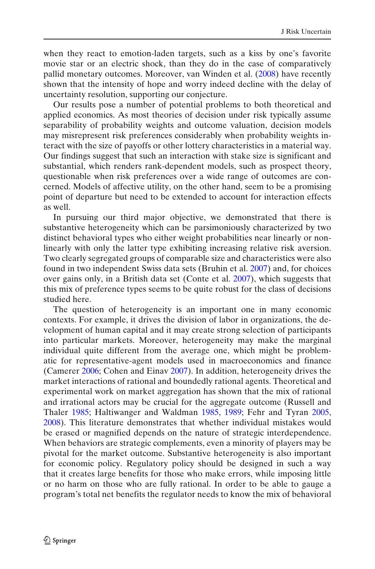when they react to emotion-laden targets, such as a kiss by one's favorite movie star or an electric shock, than they do in the case of comparatively pallid monetary outcomes. Moreover, van Winden et al[.](#page-32-0) [\(2008](#page-32-0)) have recently shown that the intensity of hope and worry indeed decline with the delay of uncertainty resolution, supporting our conjecture.

Our results pose a number of potential problems to both theoretical and applied economics. As most theories of decision under risk typically assume separability of probability weights and outcome valuation, decision models may misrepresent risk preferences considerably when probability weights interact with the size of payoffs or other lottery characteristics in a material way. Our findings suggest that such an interaction with stake size is significant and substantial, which renders rank-dependent models, such as prospect theory, questionable when risk preferences over a wide range of outcomes are concerned. Models of affective utility, on the other hand, seem to be a promising point of departure but need to be extended to account for interaction effects as well.

In pursuing our third major objective, we demonstrated that there is substantive heterogeneity which can be parsimoniously characterized by two distinct behavioral types who either weight probabilities near linearly or nonlinearly with only the latter type exhibiting increasing relative risk aversion. Two clearly segregated groups of comparable size and characteristics were also found in two independent Swiss data sets (Bruhin et al[.](#page-31-0) [2007](#page-31-0)) and, for choices over gains only, in a British data set (Conte et al[.](#page-31-0) [2007\)](#page-31-0), which suggests that this mix of preference types seems to be quite robust for the class of decisions studied here.

The question of heterogeneity is an important one in many economic contexts. For example, it drives the division of labor in organizations, the development of human capital and it may create strong selection of participants into particular markets. Moreover, heterogeneity may make the marginal individual quite different from the average one, which might be problematic for representative-agent models used in macroeconomics and finance (Camere[r](#page-31-0) [2006](#page-31-0); Cohen and Eina[v](#page-31-0) [2007](#page-31-0)). In addition, heterogeneity drives the market interactions of rational and boundedly rational agents. Theoretical and experimental work on market aggregation has shown that the mix of rational and irrational actors may be crucial for the aggregate outcome (Russell and Thale[r](#page-32-0) [1985](#page-32-0); Haltiwanger and Waldma[n](#page-31-0) [1985](#page-31-0), [1989](#page-31-0); Fehr and Tyra[n](#page-31-0) [2005,](#page-31-0) [2008](#page-31-0)). This literature demonstrates that whether individual mistakes would be erased or magnified depends on the nature of strategic interdependence. When behaviors are strategic complements, even a minority of players may be pivotal for the market outcome. Substantive heterogeneity is also important for economic policy. Regulatory policy should be designed in such a way that it creates large benefits for those who make errors, while imposing little or no harm on those who are fully rational. In order to be able to gauge a program's total net benefits the regulator needs to know the mix of behavioral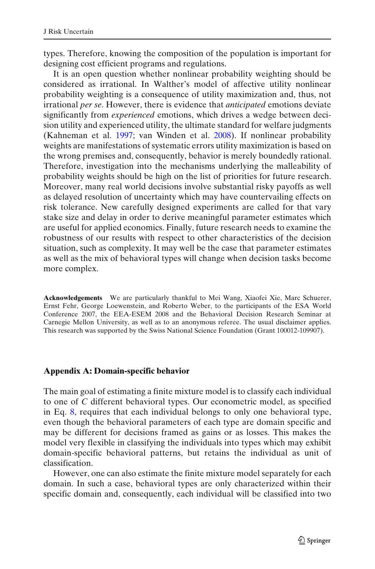<span id="page-26-0"></span>types. Therefore, knowing the composition of the population is important for designing cost efficient programs and regulations.

It is an open question whether nonlinear probability weighting should be considered as irrational. In Walther's model of affective utility nonlinear probability weighting is a consequence of utility maximization and, thus, not irrational *per se*. However, there is evidence that *anticipated* emotions deviate significantly from *experienced* emotions, which drives a wedge between decision utility and experienced utility, the ultimate standard for welfare judgments (Kahneman et al[.](#page-32-0) [1997;](#page-32-0) van Winden et al[.](#page-32-0) [2008\)](#page-32-0). If nonlinear probability weights are manifestations of systematic errors utility maximization is based on the wrong premises and, consequently, behavior is merely boundedly rational. Therefore, investigation into the mechanisms underlying the malleability of probability weights should be high on the list of priorities for future research. Moreover, many real world decisions involve substantial risky payoffs as well as delayed resolution of uncertainty which may have countervailing effects on risk tolerance. New carefully designed experiments are called for that vary stake size and delay in order to derive meaningful parameter estimates which are useful for applied economics. Finally, future research needs to examine the robustness of our results with respect to other characteristics of the decision situation, such as complexity. It may well be the case that parameter estimates as well as the mix of behavioral types will change when decision tasks become more complex.

**Acknowledgements** We are particularly thankful to Mei Wang, Xiaofei Xie, Marc Schuerer, Ernst Fehr, George Loewenstein, and Roberto Weber, to the participants of the ESA World Conference 2007, the EEA-ESEM 2008 and the Behavioral Decision Research Seminar at Carnegie Mellon University, as well as to an anonymous referee. The usual disclaimer applies. This research was supported by the Swiss National Science Foundation (Grant 100012-109907).

#### **Appendix A: Domain-specific behavior**

The main goal of estimating a finite mixture model is to classify each individual to one of *C* different behavioral types. Our econometric model, as specified in Eq. [8,](#page-10-0) requires that each individual belongs to only one behavioral type, even though the behavioral parameters of each type are domain specific and may be different for decisions framed as gains or as losses. This makes the model very flexible in classifying the individuals into types which may exhibit domain-specific behavioral patterns, but retains the individual as unit of classification.

However, one can also estimate the finite mixture model separately for each domain. In such a case, behavioral types are only characterized within their specific domain and, consequently, each individual will be classified into two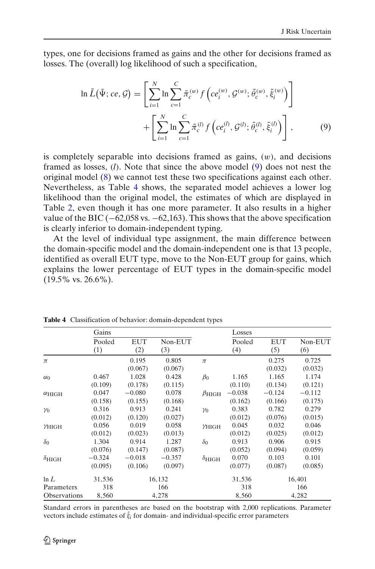types, one for decisions framed as gains and the other for decisions framed as losses. The (overall) log likelihood of such a specification,

$$
\ln \tilde{L}(\tilde{\Psi}; ce, \mathcal{G}) = \left[ \sum_{i=1}^{N} \ln \sum_{c=1}^{C} \tilde{\pi}_{c}^{(w)} f\left( ce_{i}^{(w)}, \mathcal{G}^{(w)}; \tilde{\theta}_{c}^{(w)}, \tilde{\xi}_{i}^{(w)}\right) \right] + \left[ \sum_{i=1}^{N} \ln \sum_{c=1}^{C} \tilde{\pi}_{c}^{(l)} f\left( ce_{i}^{(l)}, \mathcal{G}^{(l)}; \tilde{\theta}_{c}^{(l)}, \tilde{\xi}_{i}^{(l)}\right) \right],
$$
(9)

is completely separable into decisions framed as gains,  $(w)$ , and decisions framed as losses, (*l*). Note that since the above model (9) does not nest the original model [\(8\)](#page-10-0) we cannot test these two specifications against each other. Nevertheless, as Table 4 shows, the separated model achieves a lower log likelihood than the original model, the estimates of which are displayed in Table [2,](#page-14-0) even though it has one more parameter. It also results in a higher value of the BIC (−62,058 vs. −62,163). This shows that the above specification is clearly inferior to domain-independent typing.

At the level of individual type assignment, the main difference between the domain-specific model and the domain-independent one is that 13 people, identified as overall EUT type, move to the Non-EUT group for gains, which explains the lower percentage of EUT types in the domain-specific model (19.5% vs. 26.6%).

|                                   | Gains                          |                                |                                |                     | Losses                      |                             |                             |
|-----------------------------------|--------------------------------|--------------------------------|--------------------------------|---------------------|-----------------------------|-----------------------------|-----------------------------|
|                                   | Pooled<br>(1)                  | <b>EUT</b><br>(2)              | Non-EUT<br>(3)                 |                     | Pooled<br>(4)               | <b>EUT</b><br>(5)           | Non-EUT<br>(6)              |
| $\pi$                             |                                | 0.195<br>(0.067)               | 0.805<br>(0.067)               | $\pi$               |                             | 0.275<br>(0.032)            | 0.725<br>(0.032)            |
| $\alpha_0$                        | 0.467<br>(0.109)               | 1.028<br>(0.178)               | 0.428<br>(0.115)               | $\beta_0$           | 1.165<br>(0.110)            | 1.165<br>(0.134)            | 1.174<br>(0.121)            |
| $\alpha$ HIGH                     | 0.047<br>(0.158)               | $-0.080$<br>(0.155)            | 0.078<br>(0.168)               | $\beta_{\rm HIGH}$  | $-0.038$<br>(0.162)         | $-0.124$<br>(0.166)         | $-0.112$<br>(0.175)         |
| $\gamma_0$                        | 0.316                          | 0.913                          | 0.241                          | $\gamma_0$          | 0.383                       | 0.782                       | 0.279                       |
| YHIGH                             | (0.012)<br>0.056               | (0.120)<br>0.019               | (0.027)<br>0.058               | <b>YHIGH</b>        | (0.012)<br>0.045            | (0.076)<br>0.032            | (0.015)<br>0.046            |
| $\delta_0$                        | (0.012)<br>1.304               | (0.023)<br>0.914               | (0.013)<br>1.287               | $\delta_0$          | (0.012)<br>0.913            | (0.025)<br>0.906            | (0.012)<br>0.915            |
| $\delta_{\rm HIGH}$               | (0.076)<br>$-0.324$<br>(0.095) | (0.147)<br>$-0.018$<br>(0.106) | (0.087)<br>$-0.357$<br>(0.097) | $\delta_{\rm HIGH}$ | (0.052)<br>0.070<br>(0.077) | (0.094)<br>0.103<br>(0.087) | (0.059)<br>0.101<br>(0.085) |
| $\ln L$                           | 31,536                         | 16,132                         |                                |                     | 31,536                      |                             | 16,401                      |
| Parameters<br><b>Observations</b> | 318<br>8,560                   | 166<br>4,278                   |                                |                     | 318<br>8,560                |                             | 166<br>4,282                |

**Table 4** Classification of behavior: domain-dependent types

Standard errors in parentheses are based on the bootstrap with 2,000 replications. Parameter vectors include estimates of  $\hat{\xi}_i$  for domain- and individual-specific error parameters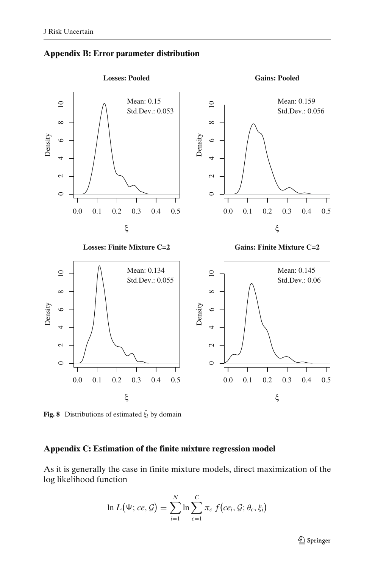

<span id="page-28-0"></span>

**Fig. 8** Distributions of estimated  $\hat{\xi}_i$  by domain

## **Appendix C: Estimation of the finite mixture regression model**

As it is generally the case in finite mixture models, direct maximization of the log likelihood function

$$
\ln L(\Psi; ce, \mathcal{G}) = \sum_{i=1}^{N} \ln \sum_{c=1}^{C} \pi_c f(ce_i, \mathcal{G}; \theta_c, \xi_i)
$$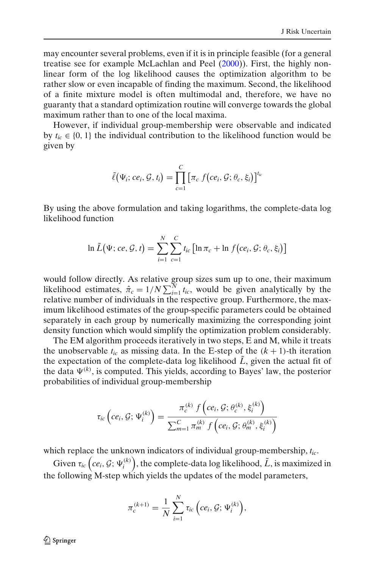may encounter several problems, even if it is in principle feasible (for a general treatise see for examp[l](#page-32-0)e McLachlan and Peel  $(2000)$  $(2000)$ ). First, the highly nonlinear form of the log likelihood causes the optimization algorithm to be rather slow or even incapable of finding the maximum. Second, the likelihood of a finite mixture model is often multimodal and, therefore, we have no guaranty that a standard optimization routine will converge towards the global maximum rather than to one of the local maxima.

However, if individual group-membership were observable and indicated by  $t_{ic} \in \{0, 1\}$  the individual contribution to the likelihood function would be given by

$$
\tilde{\ell}(\Psi_i; ce_i, \mathcal{G}, t_i) = \prod_{c=1}^C \left[ \pi_c \ f(ce_i, \mathcal{G}; \theta_c, \xi_i) \right]^{t_i}
$$

By using the above formulation and taking logarithms, the complete-data log likelihood function

$$
\ln \tilde{L}(\Psi; ce, \mathcal{G}, t) = \sum_{i=1}^{N} \sum_{c=1}^{C} t_{ic} \left[ \ln \pi_c + \ln f(ce_i, \mathcal{G}; \theta_c, \xi_i) \right]
$$

would follow directly. As relative group sizes sum up to one, their maximum likelihood estimates,  $\hat{\pi}_c = 1/N \sum_{i=1}^{N} t_{ic}$ , would be given analytically by the relative number of individuals in the respective group. Furthermore, the maximum likelihood estimates of the group-specific parameters could be obtained separately in each group by numerically maximizing the corresponding joint density function which would simplify the optimization problem considerably.

The EM algorithm proceeds iteratively in two steps, E and M, while it treats the unobservable  $t_{ic}$  as missing data. In the E-step of the  $(k + 1)$ -th iteration the expectation of the complete-data log likelihood  $\tilde{L}$ , given the actual fit of the data  $\Psi^{(k)}$ , is computed. This yields, according to Bayes' law, the posterior probabilities of individual group-membership

$$
\tau_{ic} \left(ce_i, \mathcal{G}; \Psi_i^{(k)} \right) = \frac{\pi_c^{(k)} f \left(ce_i, \mathcal{G}; \theta_c^{(k)}, \xi_i^{(k)} \right)}{\sum_{m=1}^{C} \pi_m^{(k)} f \left(ce_i, \mathcal{G}; \theta_m^{(k)}, \xi_i^{(k)} \right)}
$$

which replace the unknown indicators of individual group-membership, *tic*.

Given  $\tau_{ic}\left(ce_i,\mathcal{G};\Psi_i^{(k)}\right)$ , the complete-data log likelihood,  $\tilde{L}$ , is maximized in the following M-step which yields the updates of the model parameters,

$$
\pi_c^{(k+1)} = \frac{1}{N} \sum_{i=1}^N \tau_{ic} (ce_i, \mathcal{G}; \Psi_i^{(k)}),
$$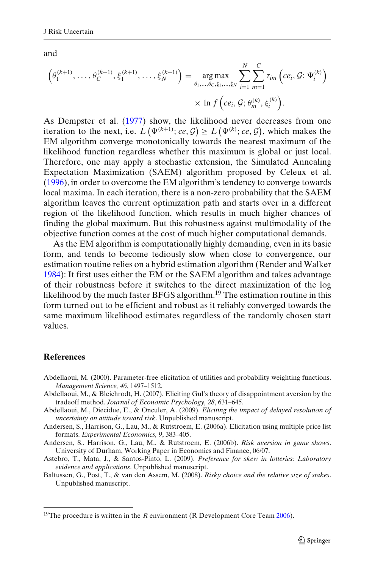<span id="page-30-0"></span>and

$$
\left(\theta_1^{(k+1)}, \ldots, \theta_C^{(k+1)}, \xi_1^{(k+1)}, \ldots, \xi_N^{(k+1)}\right) = \underset{\theta_1, \ldots, \theta_C, \xi_1, \ldots, \xi_N}{\arg \max} \sum_{i=1}^N \sum_{m=1}^C \tau_{im} \left(ce_i, \mathcal{G}; \Psi_i^{(k)}\right) \times \ln f\left(ce_i, \mathcal{G}; \theta_m^{(k)}, \xi_i^{(k)}\right).
$$

As Dempster et al[.](#page-31-0) [\(1977](#page-31-0)) show, the likelihood never decreases from one iteration to the next, i.e.  $L(\Psi^{(k+1)}; ce, \mathcal{G}) \ge L(\Psi^{(k)}; ce, \mathcal{G})$ , which makes the EM algorithm converge monotonically towards the nearest maximum of the likelihood function regardless whether this maximum is global or just local. Therefore, one may apply a stochastic extension, the Simulated Annealing Expectation Maximization (SAEM) algorithm proposed by Celeux et al[.](#page-31-0) [\(1996\)](#page-31-0), in order to overcome the EM algorithm's tendency to converge towards local maxima. In each iteration, there is a non-zero probability that the SAEM algorithm leaves the current optimization path and starts over in a different region of the likelihood function, which results in much higher chances of finding the global maximum. But this robustness against multimodality of the objective function comes at the cost of much higher computational demands.

As the EM algorithm is computationally highly demanding, even in its basic form, and tends to become tediously slow when close to convergence, our estimation routine relies on a hybrid estimation algorithm (Render and Walke[r](#page-32-0) [1984](#page-32-0)): It first uses either the EM or the SAEM algorithm and takes advantage of their robustness before it switches to the direct maximization of the log likelihood by the much faster BFGS algorithm.<sup>19</sup> The estimation routine in this form turned out to be efficient and robust as it reliably converged towards the same maximum likelihood estimates regardless of the randomly chosen start values.

#### **References**

- Abdellaoui, M. (2000). Parameter-free elicitation of utilities and probability weighting functions. *Management Science, 46*, 1497–1512.
- Abdellaoui, M., & Bleichrodt, H. (2007). Eliciting Gul's theory of disappointment aversion by the tradeoff method. *Journal of Economic Psychology, 28*, 631–645.
- Abdellaoui, M., Diecidue, E., & Onculer, A. (2009). *Eliciting the impact of delayed resolution of uncertainty on attitude toward risk*. Unpublished manuscript.
- Andersen, S., Harrison, G., Lau, M., & Rutstroem, E. (2006a). Elicitation using multiple price list formats. *Experimental Economics, 9*, 383–405.
- Andersen, S., Harrison, G., Lau, M., & Rutstroem, E. (2006b). *Risk aversion in game shows*. University of Durham, Working Paper in Economics and Finance, 06/07.
- Astebro, T., Mata, J., & Santos-Pinto, L. (2009). *Preference for skew in lotteries: Laboratory evidence and applications*. Unpublished manuscript.
- Baltussen, G., Post, T., & van den Assem, M. (2008). *Risky choice and the relative size of stakes*. Unpublished manuscript.

<sup>&</sup>lt;sup>19</sup>The procedure is written in the *R* environ[m](#page-32-0)ent (R Development Core Team  $2006$ ).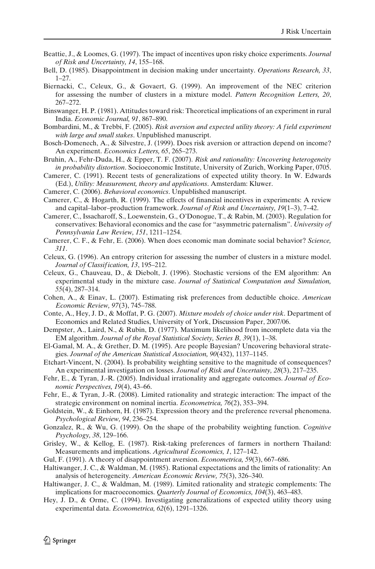- <span id="page-31-0"></span>Beattie, J., & Loomes, G. (1997). The impact of incentives upon risky choice experiments. *Journal of Risk and Uncertainty, 14*, 155–168.
- Bell, D. (1985). Disappointment in decision making under uncertainty. *Operations Research, 33*,  $1 - 27$
- Biernacki, C., Celeux, G., & Govaert, G. (1999). An improvement of the NEC criterion for assessing the number of clusters in a mixture model. *Pattern Recognition Letters, 20*, 267–272.
- Binswanger, H. P. (1981). Attitudes toward risk: Theoretical implications of an experiment in rural India. *Economic Journal, 91*, 867–890.
- Bombardini, M., & Trebbi, F. (2005). *Risk aversion and expected utility theory: A f ield experiment with large and small stakes*. Unpublished manuscript.
- Bosch-Domenech, A., & Silvestre, J. (1999). Does risk aversion or attraction depend on income? An experiment. *Economics Letters, 65*, 265–273.
- Bruhin, A., Fehr-Duda, H., & Epper, T. F. (2007). *Risk and rationality: Uncovering heterogeneity in probability distortion*. Socioeconomic Institute, University of Zurich, Working Paper, 0705.
- Camerer, C. (1991). Recent tests of generalizations of expected utility theory. In W. Edwards (Ed.), *Utility: Measurement, theory and applications*. Amsterdam: Kluwer.
- Camerer, C. (2006). *Behavioral economics*. Unpublished manuscript.
- Camerer, C., & Hogarth, R. (1999). The effects of financial incentives in experiments: A review and capital–labor–production framework. *Journal of Risk and Uncertainty, 19*(1–3), 7–42.
- Camerer, C., Issacharoff, S., Loewenstein, G., O'Donogue, T., & Rabin, M. (2003). Regulation for conservatives: Behavioral economics and the case for "asymmetric paternalism". *University of Pennsylvania Law Review, 151*, 1211–1254.
- Camerer, C. F., & Fehr, E. (2006). When does economic man dominate social behavior? *Science, 311*.
- Celeux, G. (1996). An entropy criterion for assessing the number of clusters in a mixture model. *Journal of Classif ication, 13*, 195–212.
- Celeux, G., Chauveau, D., & Diebolt, J. (1996). Stochastic versions of the EM algorithm: An experimental study in the mixture case. *Journal of Statistical Computation and Simulation, 55*(4), 287–314.
- Cohen, A., & Einav, L. (2007). Estimating risk preferences from deductible choice. *American Economic Review, 97*(3), 745–788.
- Conte, A., Hey, J. D., & Moffat, P. G. (2007). *Mixture models of choice under risk*. Department of Economics and Related Studies, University of York, Discussion Paper, 2007/06.
- Dempster, A., Laird, N., & Rubin, D. (1977). Maximum likelihood from incomplete data via the EM algorithm. *Journal of the Royal Statistical Society, Series B, 39*(1), 1–38.
- El-Gamal, M. A., & Grether, D. M. (1995). Are people Bayesian? Uncovering behavioral strategies. *Journal of the American Statistical Association, 90*(432), 1137–1145.
- Etchart-Vincent, N. (2004). Is probability weighting sensitive to the magnitude of consequences? An experimental investigation on losses. *Journal of Risk and Uncertainty, 28*(3), 217–235.
- Fehr, E., & Tyran, J.-R. (2005). Individual irrationality and aggregate outcomes. *Journal of Economic Perspectives, 19*(4), 43–66.
- Fehr, E., & Tyran, J.-R. (2008). Limited rationality and strategic interaction: The impact of the strategic environment on nominal inertia. *Econometrica, 76*(2), 353–394.
- Goldstein, W., & Einhorn, H. (1987). Expression theory and the preference reversal phenomena. *Psychological Review, 94*, 236–254.
- Gonzalez, R., & Wu, G. (1999). On the shape of the probability weighting function. *Cognitive Psychology, 38*, 129–166.
- Grisley, W., & Kellog, E. (1987). Risk-taking preferences of farmers in northern Thailand: Measurements and implications. *Agricultural Economics, 1*, 127–142.
- Gul, F. (1991). A theory of disappointment aversion. *Econometrica, 59*(3), 667–686.
- Haltiwanger, J. C., & Waldman, M. (1985). Rational expectations and the limits of rationality: An analysis of heterogeneity. *American Economic Review, 75*(3), 326–340.
- Haltiwanger, J. C., & Waldman, M. (1989). Limited rationality and strategic complements: The implications for macroeconomics. *Quarterly Journal of Economics, 104*(3), 463–483.
- Hey, J. D., & Orme, C. (1994). Investigating generalizations of expected utility theory using experimental data. *Econometrica, 62*(6), 1291–1326.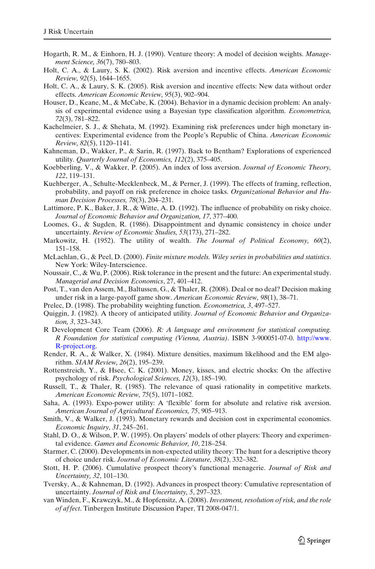- <span id="page-32-0"></span>Hogarth, R. M., & Einhorn, H. J. (1990). Venture theory: A model of decision weights. *Management Science, 36*(7), 780–803.
- Holt, C. A., & Laury, S. K. (2002). Risk aversion and incentive effects. *American Economic Review, 92*(5), 1644–1655.
- Holt, C. A., & Laury, S. K. (2005). Risk aversion and incentive effects: New data without order effects. *American Economic Review, 95*(3), 902–904.
- Houser, D., Keane, M., & McCabe, K. (2004). Behavior in a dynamic decision problem: An analysis of experimental evidence using a Bayesian type classification algorithm. *Econometrica, 72*(3), 781–822.
- Kachelmeier, S. J., & Shehata, M. (1992). Examining risk preferences under high monetary incentives: Experimental evidence from the People's Republic of China. *American Economic Review, 82*(5), 1120–1141.
- Kahneman, D., Wakker, P., & Sarin, R. (1997). Back to Bentham? Explorations of experienced utility. *Quarterly Journal of Economics, 112*(2), 375–405.
- Koebberling, V., & Wakker, P. (2005). An index of loss aversion. *Journal of Economic Theory, 122*, 119–131.
- Kuehberger, A., Schulte-Mecklenbeck, M., & Perner, J. (1999). The effects of framing, reflection, probability, and payoff on risk preference in choice tasks. *Organizational Behavior and Human Decision Processes, 78*(3), 204–231.
- Lattimore, P. K., Baker, J. R., & Witte, A. D. (1992). The influence of probability on risky choice. *Journal of Economic Behavior and Organization, 17*, 377–400.
- Loomes, G., & Sugden, R. (1986). Disappointment and dynamic consistency in choice under uncertainty. *Review of Economic Studies, 53*(173), 271–282.
- Markowitz, H. (1952). The utility of wealth. *The Journal of Political Economy, 60*(2), 151–158.
- McLachlan, G., & Peel, D. (2000). *Finite mixture models. Wiley series in probabilities and statistics*. New York: Wiley-Interscience.
- Noussair, C., & Wu, P. (2006). Risk tolerance in the present and the future: An experimental study. *Managerial and Decision Economics*, 27, 401–412.
- Post, T., van den Assem, M., Baltussen, G., & Thaler, R. (2008). Deal or no deal? Decision making under risk in a large-payoff game show. *American Economic Review, 98*(1), 38–71.
- Prelec, D. (1998). The probability weighting function. *Econometrica, 3*, 497–527.
- Quiggin, J. (1982). A theory of anticipated utility. *Journal of Economic Behavior and Organization, 3*, 323–343.
- R Development Core Team (2006). *R: A language and environment for statistical computing. R Foundation for statistical computing (Vienna, Austria)*. ISBN 3-900051-07-0. [http://www.](http://www.R-project.org) [R-project.org.](http://www.R-project.org)
- Render, R. A., & Walker, X. (1984). Mixture densities, maximum likelihood and the EM algorithm. *SIAM Review, 26*(2), 195–239.
- Rottenstreich, Y., & Hsee, C. K. (2001). Money, kisses, and electric shocks: On the affective psychology of risk. *Psychological Sciences, 12*(3), 185–190.
- Russell, T., & Thaler, R. (1985). The relevance of quasi rationality in competitive markets. *American Economic Review, 75*(5), 1071–1082.
- Saha, A. (1993). Expo-power utility: A 'flexible' form for absolute and relative risk aversion. *American Journal of Agricultural Economics, 75*, 905–913.
- Smith, V., & Walker, J. (1993). Monetary rewards and decision cost in experimental economics. *Economic Inquiry, 31*, 245–261.
- Stahl, D. O., & Wilson, P. W. (1995). On players' models of other players: Theory and experimental evidence. *Games and Economic Behavior, 10*, 218–254.
- Starmer, C. (2000). Developments in non-expected utility theory: The hunt for a descriptive theory of choice under risk. *Journal of Economic Literature, 38*(2), 332–382.
- Stott, H. P. (2006). Cumulative prospect theory's functional menagerie. *Journal of Risk and Uncertainty, 32*, 101–130.
- Tversky, A., & Kahneman, D. (1992). Advances in prospect theory: Cumulative representation of uncertainty. *Journal of Risk and Uncertainty, 5*, 297–323.
- van Winden, F., Krawczyk, M., & Hopfensitz, A. (2008). *Investment, resolution of risk, and the role of af fect*. Tinbergen Institute Discussion Paper, TI 2008-047/1.